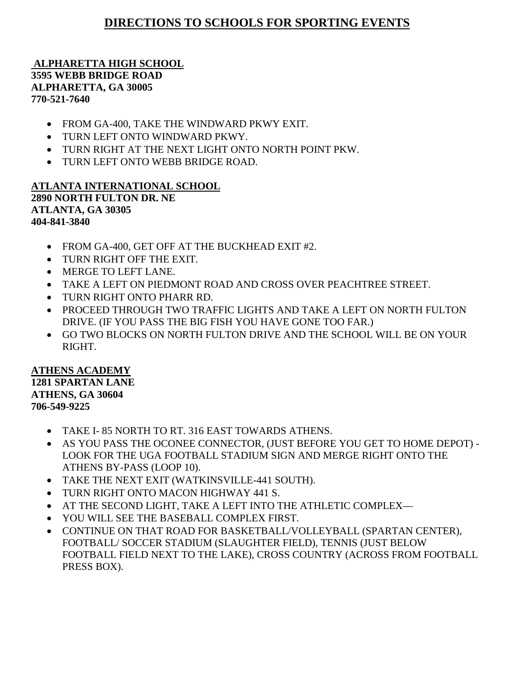# **DIRECTIONS TO SCHOOLS FOR SPORTING EVENTS**

**ALPHARETTA HIGH SCHOOL 3595 WEBB BRIDGE ROAD ALPHARETTA, GA 30005 770-521-7640**

- FROM GA-400, TAKE THE WINDWARD PKWY EXIT.
- TURN LEFT ONTO WINDWARD PKWY.
- TURN RIGHT AT THE NEXT LIGHT ONTO NORTH POINT PKW.
- TURN LEFT ONTO WEBB BRIDGE ROAD.

## **ATLANTA INTERNATIONAL SCHOOL 2890 NORTH FULTON DR. NE ATLANTA, GA 30305 404-841-3840**

- FROM GA-400, GET OFF AT THE BUCKHEAD EXIT #2.
- TURN RIGHT OFF THE EXIT.
- MERGE TO LEFT LANE.
- TAKE A LEFT ON PIEDMONT ROAD AND CROSS OVER PEACHTREE STREET.
- TURN RIGHT ONTO PHARR RD.
- PROCEED THROUGH TWO TRAFFIC LIGHTS AND TAKE A LEFT ON NORTH FULTON DRIVE. (IF YOU PASS THE BIG FISH YOU HAVE GONE TOO FAR.)
- GO TWO BLOCKS ON NORTH FULTON DRIVE AND THE SCHOOL WILL BE ON YOUR RIGHT.

#### **ATHENS ACADEMY 1281 SPARTAN LANE ATHENS, GA 30604 706-549-9225**

- TAKE I- 85 NORTH TO RT. 316 EAST TOWARDS ATHENS.
- AS YOU PASS THE OCONEE CONNECTOR, (JUST BEFORE YOU GET TO HOME DEPOT) LOOK FOR THE UGA FOOTBALL STADIUM SIGN AND MERGE RIGHT ONTO THE ATHENS BY-PASS (LOOP 10).
- TAKE THE NEXT EXIT (WATKINSVILLE-441 SOUTH).
- TURN RIGHT ONTO MACON HIGHWAY 441 S.
- AT THE SECOND LIGHT, TAKE A LEFT INTO THE ATHLETIC COMPLEX—
- YOU WILL SEE THE BASEBALL COMPLEX FIRST.
- CONTINUE ON THAT ROAD FOR BASKETBALL/VOLLEYBALL (SPARTAN CENTER), FOOTBALL/ SOCCER STADIUM (SLAUGHTER FIELD), TENNIS (JUST BELOW FOOTBALL FIELD NEXT TO THE LAKE), CROSS COUNTRY (ACROSS FROM FOOTBALL PRESS BOX).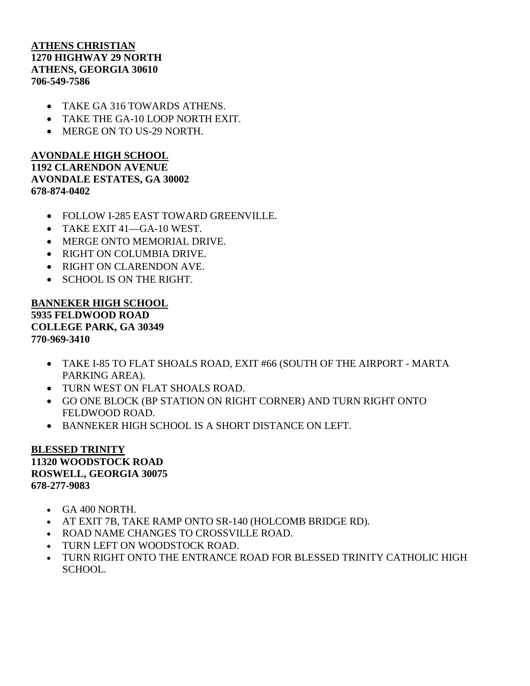## **ATHENS CHRISTIAN 1270 HIGHWAY 29 NORTH ATHENS, GEORGIA 30610 706-549-7586**

- TAKE GA 316 TOWARDS ATHENS.
- TAKE THE GA-10 LOOP NORTH EXIT.
- MERGE ON TO US-29 NORTH.

## **AVONDALE HIGH SCHOOL 1192 CLARENDON AVENUE AVONDALE ESTATES, GA 30002 678-874-0402**

- FOLLOW I-285 EAST TOWARD GREENVILLE.
- TAKE EXIT 41—GA-10 WEST.
- MERGE ONTO MEMORIAL DRIVE.
- RIGHT ON COLUMBIA DRIVE.
- RIGHT ON CLARENDON AVE.
- SCHOOL IS ON THE RIGHT.

## **BANNEKER HIGH SCHOOL 5935 FELDWOOD ROAD COLLEGE PARK, GA 30349 770-969-3410**

- TAKE I-85 TO FLAT SHOALS ROAD, EXIT #66 (SOUTH OF THE AIRPORT MARTA PARKING AREA).
- TURN WEST ON FLAT SHOALS ROAD.
- GO ONE BLOCK (BP STATION ON RIGHT CORNER) AND TURN RIGHT ONTO FELDWOOD ROAD.
- BANNEKER HIGH SCHOOL IS A SHORT DISTANCE ON LEFT.

#### **BLESSED TRINITY 11320 WOODSTOCK ROAD ROSWELL, GEORGIA 30075 678-277-9083**

- GA 400 NORTH.
- AT EXIT 7B, TAKE RAMP ONTO SR-140 (HOLCOMB BRIDGE RD).
- ROAD NAME CHANGES TO CROSSVILLE ROAD.
- TURN LEFT ON WOODSTOCK ROAD.
- TURN RIGHT ONTO THE ENTRANCE ROAD FOR BLESSED TRINITY CATHOLIC HIGH SCHOOL.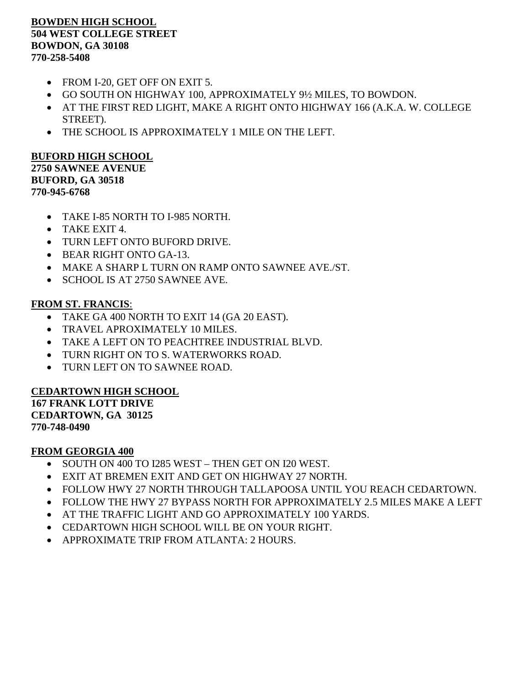### **BOWDEN HIGH SCHOOL 504 WEST COLLEGE STREET BOWDON, GA 30108 770-258-5408**

- FROM I-20, GET OFF ON EXIT 5.
- GO SOUTH ON HIGHWAY 100, APPROXIMATELY 9½ MILES, TO BOWDON.
- AT THE FIRST RED LIGHT, MAKE A RIGHT ONTO HIGHWAY 166 (A.K.A. W. COLLEGE STREET).
- THE SCHOOL IS APPROXIMATELY 1 MILE ON THE LEFT.

#### **BUFORD HIGH SCHOOL 2750 SAWNEE AVENUE BUFORD, GA 30518 770-945-6768**

- TAKE I-85 NORTH TO I-985 NORTH.
- TAKE EXIT 4.
- TURN LEFT ONTO BUFORD DRIVE.
- BEAR RIGHT ONTO GA-13.
- MAKE A SHARP L TURN ON RAMP ONTO SAWNEE AVE./ST.
- SCHOOL IS AT 2750 SAWNEE AVE.

## **FROM ST. FRANCIS**:

- TAKE GA 400 NORTH TO EXIT 14 (GA 20 EAST).
- TRAVEL APROXIMATELY 10 MILES.
- TAKE A LEFT ON TO PEACHTREE INDUSTRIAL BLVD.
- TURN RIGHT ON TO S. WATERWORKS ROAD.
- TURN LEFT ON TO SAWNEE ROAD.

## **CEDARTOWN HIGH SCHOOL**

**167 FRANK LOTT DRIVE CEDARTOWN, GA 30125 770-748-0490**

#### **FROM GEORGIA 400**

- SOUTH ON 400 TO I285 WEST THEN GET ON I20 WEST.
- EXIT AT BREMEN EXIT AND GET ON HIGHWAY 27 NORTH.
- FOLLOW HWY 27 NORTH THROUGH TALLAPOOSA UNTIL YOU REACH CEDARTOWN.
- FOLLOW THE HWY 27 BYPASS NORTH FOR APPROXIMATELY 2.5 MILES MAKE A LEFT
- AT THE TRAFFIC LIGHT AND GO APPROXIMATELY 100 YARDS.
- CEDARTOWN HIGH SCHOOL WILL BE ON YOUR RIGHT.
- APPROXIMATE TRIP FROM ATLANTA: 2 HOURS.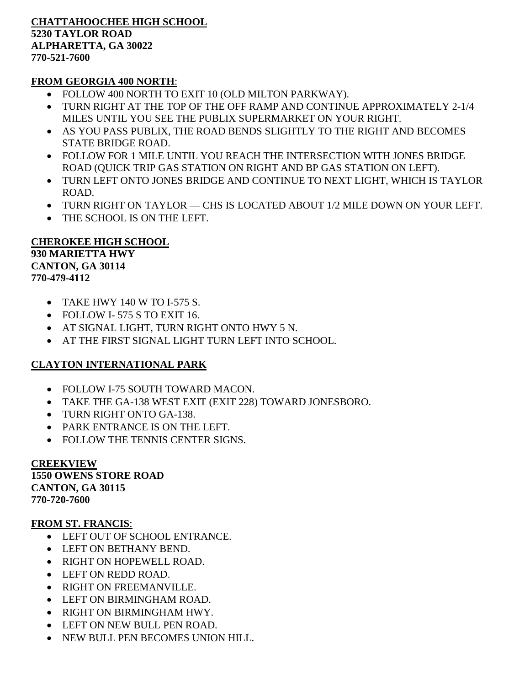#### **CHATTAHOOCHEE HIGH SCHOOL 5230 TAYLOR ROAD ALPHARETTA, GA 30022 770-521-7600**

## **FROM GEORGIA 400 NORTH**:

- FOLLOW 400 NORTH TO EXIT 10 (OLD MILTON PARKWAY).
- TURN RIGHT AT THE TOP OF THE OFF RAMP AND CONTINUE APPROXIMATELY 2-1/4 MILES UNTIL YOU SEE THE PUBLIX SUPERMARKET ON YOUR RIGHT.
- AS YOU PASS PUBLIX, THE ROAD BENDS SLIGHTLY TO THE RIGHT AND BECOMES STATE BRIDGE ROAD.
- FOLLOW FOR 1 MILE UNTIL YOU REACH THE INTERSECTION WITH JONES BRIDGE ROAD (QUICK TRIP GAS STATION ON RIGHT AND BP GAS STATION ON LEFT).
- TURN LEFT ONTO JONES BRIDGE AND CONTINUE TO NEXT LIGHT, WHICH IS TAYLOR ROAD.
- TURN RIGHT ON TAYLOR CHS IS LOCATED ABOUT 1/2 MILE DOWN ON YOUR LEFT.
- THE SCHOOL IS ON THE LEFT.

## **CHEROKEE HIGH SCHOOL 930 MARIETTA HWY CANTON, GA 30114 770-479-4112**

- TAKE HWY 140 W TO I-575 S.
- FOLLOW I- 575 S TO EXIT 16.
- AT SIGNAL LIGHT, TURN RIGHT ONTO HWY 5 N.
- AT THE FIRST SIGNAL LIGHT TURN LEFT INTO SCHOOL.

## **CLAYTON INTERNATIONAL PARK**

- FOLLOW I-75 SOUTH TOWARD MACON.
- TAKE THE GA-138 WEST EXIT (EXIT 228) TOWARD JONESBORO.
- TURN RIGHT ONTO GA-138.
- PARK ENTRANCE IS ON THE LEFT.
- FOLLOW THE TENNIS CENTER SIGNS.

**CREEKVIEW 1550 OWENS STORE ROAD CANTON, GA 30115 770-720-7600**

## **FROM ST. FRANCIS**:

- LEFT OUT OF SCHOOL ENTRANCE.
- LEFT ON BETHANY BEND.
- RIGHT ON HOPEWELL ROAD.
- LEFT ON REDD ROAD.
- RIGHT ON FREEMANVILLE.
- LEFT ON BIRMINGHAM ROAD.
- RIGHT ON BIRMINGHAM HWY.
- LEFT ON NEW BULL PEN ROAD.
- NEW BULL PEN BECOMES UNION HILL.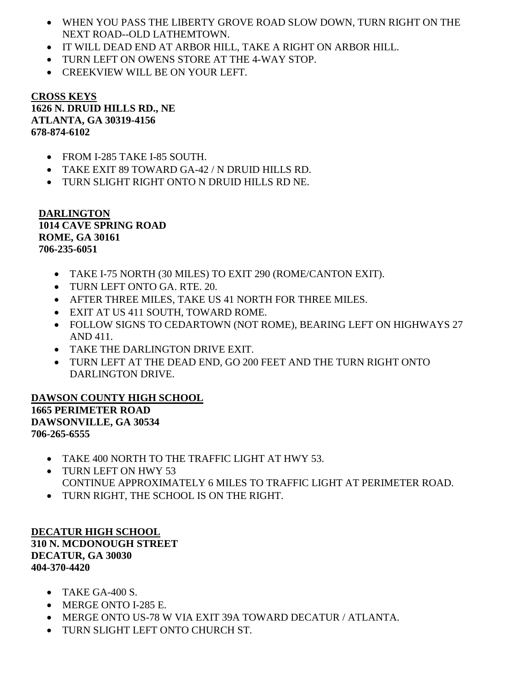- WHEN YOU PASS THE LIBERTY GROVE ROAD SLOW DOWN, TURN RIGHT ON THE NEXT ROAD--OLD LATHEMTOWN.
- IT WILL DEAD END AT ARBOR HILL, TAKE A RIGHT ON ARBOR HILL.
- TURN LEFT ON OWENS STORE AT THE 4-WAY STOP.
- CREEKVIEW WILL BE ON YOUR LEFT.

#### **CROSS KEYS 1626 N. DRUID HILLS RD., NE ATLANTA, GA 30319-4156 678-874-6102**

- FROM I-285 TAKE I-85 SOUTH.
- TAKE EXIT 89 TOWARD GA-42 / N DRUID HILLS RD.
- TURN SLIGHT RIGHT ONTO N DRUID HILLS RD NE.

**DARLINGTON 1014 CAVE SPRING ROAD ROME, GA 30161 706-235-6051**

- TAKE I-75 NORTH (30 MILES) TO EXIT 290 (ROME/CANTON EXIT).
- TURN LEFT ONTO GA. RTE. 20.
- AFTER THREE MILES, TAKE US 41 NORTH FOR THREE MILES.
- EXIT AT US 411 SOUTH, TOWARD ROME.
- FOLLOW SIGNS TO CEDARTOWN (NOT ROME), BEARING LEFT ON HIGHWAYS 27 AND 411.
- TAKE THE DARLINGTON DRIVE EXIT.
- TURN LEFT AT THE DEAD END, GO 200 FEET AND THE TURN RIGHT ONTO DARLINGTON DRIVE.

**DAWSON COUNTY HIGH SCHOOL 1665 PERIMETER ROAD DAWSONVILLE, GA 30534 706-265-6555**

- TAKE 400 NORTH TO THE TRAFFIC LIGHT AT HWY 53.
- TURN LEFT ON HWY 53 CONTINUE APPROXIMATELY 6 MILES TO TRAFFIC LIGHT AT PERIMETER ROAD.
- TURN RIGHT, THE SCHOOL IS ON THE RIGHT.

**DECATUR HIGH SCHOOL 310 N. MCDONOUGH STREET DECATUR, GA 30030 404-370-4420**

- $\bullet$  TAKE GA-400 S.
- MERGE ONTO I-285 E.
- MERGE ONTO US-78 W VIA EXIT 39A TOWARD DECATUR / ATLANTA.
- TURN SLIGHT LEFT ONTO CHURCH ST.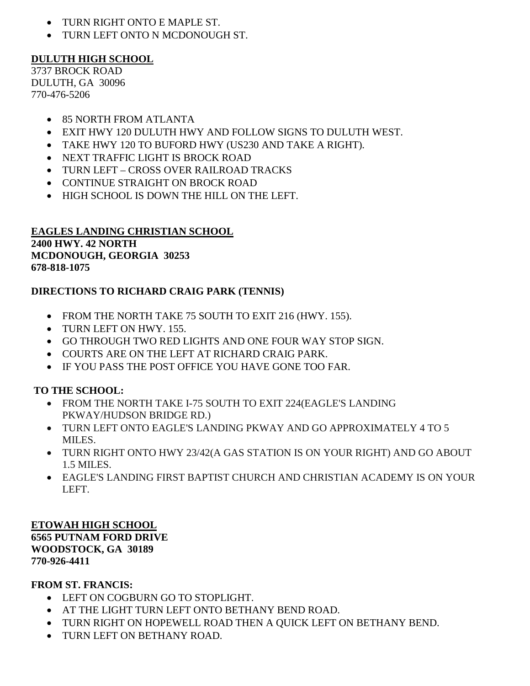- TURN RIGHT ONTO E MAPLE ST.
- TURN LEFT ONTO N MCDONOUGH ST.

# **DULUTH HIGH SCHOOL**

3737 BROCK ROAD DULUTH, GA 30096 770-476-5206

- 85 NORTH FROM ATLANTA
- EXIT HWY 120 DULUTH HWY AND FOLLOW SIGNS TO DULUTH WEST.
- TAKE HWY 120 TO BUFORD HWY (US230 AND TAKE A RIGHT).
- NEXT TRAFFIC LIGHT IS BROCK ROAD
- TURN LEFT CROSS OVER RAILROAD TRACKS
- CONTINUE STRAIGHT ON BROCK ROAD
- HIGH SCHOOL IS DOWN THE HILL ON THE LEFT.

## **EAGLES LANDING CHRISTIAN SCHOOL 2400 HWY. 42 NORTH MCDONOUGH, GEORGIA 30253 678-818-1075**

# **DIRECTIONS TO RICHARD CRAIG PARK (TENNIS)**

- FROM THE NORTH TAKE 75 SOUTH TO EXIT 216 (HWY. 155).
- TURN LEFT ON HWY. 155.
- GO THROUGH TWO RED LIGHTS AND ONE FOUR WAY STOP SIGN.
- COURTS ARE ON THE LEFT AT RICHARD CRAIG PARK.
- IF YOU PASS THE POST OFFICE YOU HAVE GONE TOO FAR.

# **TO THE SCHOOL:**

- FROM THE NORTH TAKE I-75 SOUTH TO EXIT 224(EAGLE'S LANDING PKWAY/HUDSON BRIDGE RD.)
- TURN LEFT ONTO EAGLE'S LANDING PKWAY AND GO APPROXIMATELY 4 TO 5 MILES.
- TURN RIGHT ONTO HWY 23/42(A GAS STATION IS ON YOUR RIGHT) AND GO ABOUT 1.5 MILES.
- EAGLE'S LANDING FIRST BAPTIST CHURCH AND CHRISTIAN ACADEMY IS ON YOUR LEFT.

**ETOWAH HIGH SCHOOL 6565 PUTNAM FORD DRIVE WOODSTOCK, GA 30189 770-926-4411**

## **FROM ST. FRANCIS:**

- LEFT ON COGBURN GO TO STOPLIGHT.
- AT THE LIGHT TURN LEFT ONTO BETHANY BEND ROAD.
- TURN RIGHT ON HOPEWELL ROAD THEN A QUICK LEFT ON BETHANY BEND.
- TURN LEFT ON BETHANY ROAD.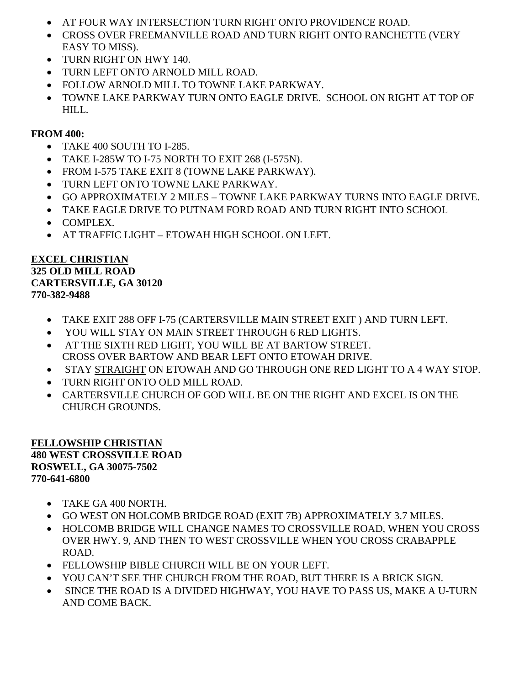- AT FOUR WAY INTERSECTION TURN RIGHT ONTO PROVIDENCE ROAD.
- CROSS OVER FREEMANVILLE ROAD AND TURN RIGHT ONTO RANCHETTE (VERY EASY TO MISS).
- TURN RIGHT ON HWY 140.
- TURN LEFT ONTO ARNOLD MILL ROAD.
- FOLLOW ARNOLD MILL TO TOWNE LAKE PARKWAY.
- TOWNE LAKE PARKWAY TURN ONTO EAGLE DRIVE. SCHOOL ON RIGHT AT TOP OF HILL.

## **FROM 400:**

- TAKE 400 SOUTH TO I-285.
- TAKE I-285W TO I-75 NORTH TO EXIT 268 (I-575N).
- FROM I-575 TAKE EXIT 8 (TOWNE LAKE PARKWAY).
- TURN LEFT ONTO TOWNE LAKE PARKWAY.
- GO APPROXIMATELY 2 MILES TOWNE LAKE PARKWAY TURNS INTO EAGLE DRIVE.
- TAKE EAGLE DRIVE TO PUTNAM FORD ROAD AND TURN RIGHT INTO SCHOOL
- COMPLEX.
- AT TRAFFIC LIGHT ETOWAH HIGH SCHOOL ON LEFT.

## **EXCEL CHRISTIAN 325 OLD MILL ROAD CARTERSVILLE, GA 30120 770-382-9488**

- TAKE EXIT 288 OFF I-75 (CARTERSVILLE MAIN STREET EXIT ) AND TURN LEFT.
- YOU WILL STAY ON MAIN STREET THROUGH 6 RED LIGHTS.
- AT THE SIXTH RED LIGHT, YOU WILL BE AT BARTOW STREET. CROSS OVER BARTOW AND BEAR LEFT ONTO ETOWAH DRIVE.
- STAY STRAIGHT ON ETOWAH AND GO THROUGH ONE RED LIGHT TO A 4 WAY STOP.
- TURN RIGHT ONTO OLD MILL ROAD.
- CARTERSVILLE CHURCH OF GOD WILL BE ON THE RIGHT AND EXCEL IS ON THE CHURCH GROUNDS.

## **FELLOWSHIP CHRISTIAN 480 WEST CROSSVILLE ROAD ROSWELL, GA 30075-7502 770-641-6800**

- TAKE GA 400 NORTH.
- GO WEST ON HOLCOMB BRIDGE ROAD (EXIT 7B) APPROXIMATELY 3.7 MILES.
- HOLCOMB BRIDGE WILL CHANGE NAMES TO CROSSVILLE ROAD, WHEN YOU CROSS OVER HWY. 9, AND THEN TO WEST CROSSVILLE WHEN YOU CROSS CRABAPPLE ROAD.
- FELLOWSHIP BIBLE CHURCH WILL BE ON YOUR LEFT.
- YOU CAN'T SEE THE CHURCH FROM THE ROAD, BUT THERE IS A BRICK SIGN.
- SINCE THE ROAD IS A DIVIDED HIGHWAY, YOU HAVE TO PASS US, MAKE A U-TURN AND COME BACK.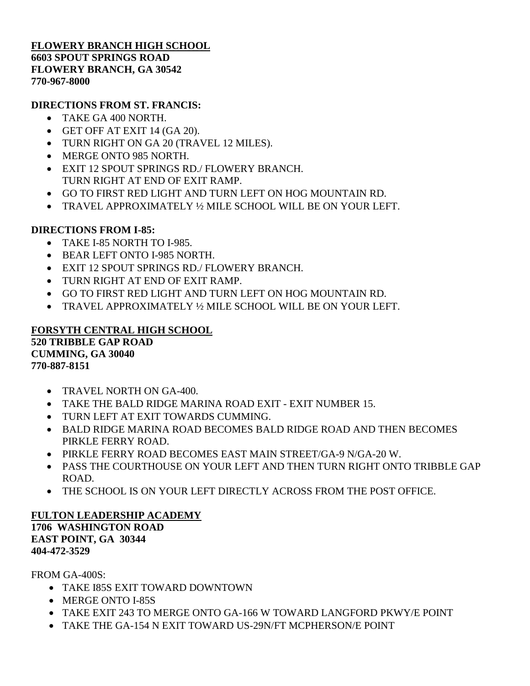## **FLOWERY BRANCH HIGH SCHOOL 6603 SPOUT SPRINGS ROAD FLOWERY BRANCH, GA 30542 770-967-8000**

## **DIRECTIONS FROM ST. FRANCIS:**

- TAKE GA 400 NORTH.
- GET OFF AT EXIT 14 (GA 20).
- TURN RIGHT ON GA 20 (TRAVEL 12 MILES).
- MERGE ONTO 985 NORTH.
- EXIT 12 SPOUT SPRINGS RD./ FLOWERY BRANCH. TURN RIGHT AT END OF EXIT RAMP.
- GO TO FIRST RED LIGHT AND TURN LEFT ON HOG MOUNTAIN RD.
- TRAVEL APPROXIMATELY ½ MILE SCHOOL WILL BE ON YOUR LEFT.

## **DIRECTIONS FROM I-85:**

- TAKE I-85 NORTH TO I-985.
- BEAR LEFT ONTO I-985 NORTH.
- EXIT 12 SPOUT SPRINGS RD./ FLOWERY BRANCH.
- TURN RIGHT AT END OF EXIT RAMP.
- GO TO FIRST RED LIGHT AND TURN LEFT ON HOG MOUNTAIN RD.
- TRAVEL APPROXIMATELY ½ MILE SCHOOL WILL BE ON YOUR LEFT.

## **FORSYTH CENTRAL HIGH SCHOOL 520 TRIBBLE GAP ROAD CUMMING, GA 30040 770-887-8151**

- TRAVEL NORTH ON GA-400.
- TAKE THE BALD RIDGE MARINA ROAD EXIT EXIT NUMBER 15.
- TURN LEFT AT EXIT TOWARDS CUMMING.
- BALD RIDGE MARINA ROAD BECOMES BALD RIDGE ROAD AND THEN BECOMES PIRKLE FERRY ROAD.
- PIRKLE FERRY ROAD BECOMES EAST MAIN STREET/GA-9 N/GA-20 W.
- PASS THE COURTHOUSE ON YOUR LEFT AND THEN TURN RIGHT ONTO TRIBBLE GAP ROAD.
- THE SCHOOL IS ON YOUR LEFT DIRECTLY ACROSS FROM THE POST OFFICE.

## **FULTON LEADERSHIP ACADEMY 1706 WASHINGTON ROAD EAST POINT, GA 30344 404-472-3529**

FROM GA-400S:

- TAKE I85S EXIT TOWARD DOWNTOWN
- MERGE ONTO I-85S
- TAKE EXIT 243 TO MERGE ONTO GA-166 W TOWARD LANGFORD PKWY/E POINT
- TAKE THE GA-154 N EXIT TOWARD US-29N/FT MCPHERSON/E POINT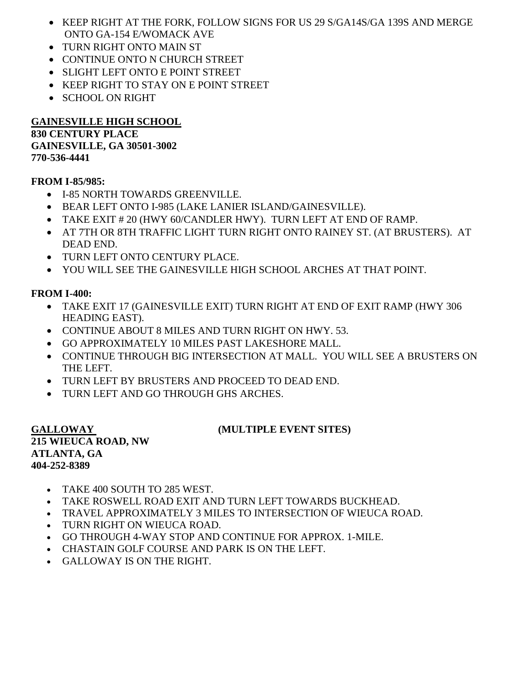- KEEP RIGHT AT THE FORK, FOLLOW SIGNS FOR US 29 S/GA14S/GA 139S AND MERGE ONTO GA-154 E/WOMACK AVE
- TURN RIGHT ONTO MAIN ST
- CONTINUE ONTO N CHURCH STREET
- SLIGHT LEFT ONTO E POINT STREET
- KEEP RIGHT TO STAY ON E POINT STREET
- SCHOOL ON RIGHT

#### **GAINESVILLE HIGH SCHOOL 830 CENTURY PLACE GAINESVILLE, GA 30501-3002**

**770-536-4441**

# **FROM I-85/985:**

- I-85 NORTH TOWARDS GREENVILLE.
- BEAR LEFT ONTO I-985 (LAKE LANIER ISLAND/GAINESVILLE).
- TAKE EXIT # 20 (HWY 60/CANDLER HWY). TURN LEFT AT END OF RAMP.
- AT 7TH OR 8TH TRAFFIC LIGHT TURN RIGHT ONTO RAINEY ST. (AT BRUSTERS). AT DEAD END.
- TURN LEFT ONTO CENTURY PLACE.
- YOU WILL SEE THE GAINESVILLE HIGH SCHOOL ARCHES AT THAT POINT.

# **FROM I-400:**

- TAKE EXIT 17 (GAINESVILLE EXIT) TURN RIGHT AT END OF EXIT RAMP (HWY 306 HEADING EAST).
- CONTINUE ABOUT 8 MILES AND TURN RIGHT ON HWY. 53.
- GO APPROXIMATELY 10 MILES PAST LAKESHORE MALL.
- CONTINUE THROUGH BIG INTERSECTION AT MALL. YOU WILL SEE A BRUSTERS ON THE LEFT.
- TURN LEFT BY BRUSTERS AND PROCEED TO DEAD END.
- TURN LEFT AND GO THROUGH GHS ARCHES.

**215 WIEUCA ROAD, NW ATLANTA, GA 404-252-8389**

# **GALLOWAY (MULTIPLE EVENT SITES)**

- TAKE 400 SOUTH TO 285 WEST.
- TAKE ROSWELL ROAD EXIT AND TURN LEFT TOWARDS BUCKHEAD.
- TRAVEL APPROXIMATELY 3 MILES TO INTERSECTION OF WIEUCA ROAD.
- TURN RIGHT ON WIEUCA ROAD.
- GO THROUGH 4-WAY STOP AND CONTINUE FOR APPROX. 1-MILE.
- CHASTAIN GOLF COURSE AND PARK IS ON THE LEFT.
- GALLOWAY IS ON THE RIGHT.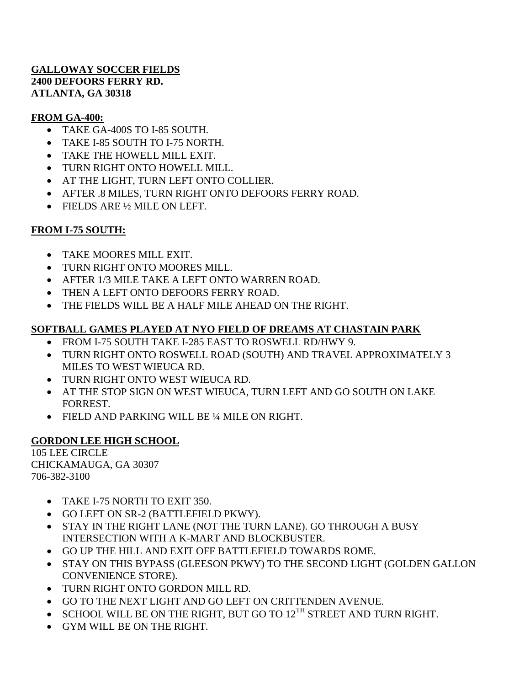## **GALLOWAY SOCCER FIELDS 2400 DEFOORS FERRY RD. ATLANTA, GA 30318**

# **FROM GA-400:**

- TAKE GA-400S TO I-85 SOUTH.
- TAKE I-85 SOUTH TO I-75 NORTH.
- TAKE THE HOWELL MILL EXIT.
- TURN RIGHT ONTO HOWELL MILL.
- AT THE LIGHT, TURN LEFT ONTO COLLIER.
- AFTER .8 MILES, TURN RIGHT ONTO DEFOORS FERRY ROAD.
- FIELDS ARE 1/2 MILE ON LEFT.

# **FROM I-75 SOUTH:**

- TAKE MOORES MILL EXIT.
- TURN RIGHT ONTO MOORES MILL.
- AFTER 1/3 MILE TAKE A LEFT ONTO WARREN ROAD.
- THEN A LEFT ONTO DEFOORS FERRY ROAD.
- THE FIELDS WILL BE A HALF MILE AHEAD ON THE RIGHT.

# **SOFTBALL GAMES PLAYED AT NYO FIELD OF DREAMS AT CHASTAIN PARK**

- FROM I-75 SOUTH TAKE I-285 EAST TO ROSWELL RD/HWY 9.
- TURN RIGHT ONTO ROSWELL ROAD (SOUTH) AND TRAVEL APPROXIMATELY 3 MILES TO WEST WIEUCA RD.
- TURN RIGHT ONTO WEST WIEUCA RD.
- AT THE STOP SIGN ON WEST WIEUCA, TURN LEFT AND GO SOUTH ON LAKE FORREST.
- FIELD AND PARKING WILL BE ¼ MILE ON RIGHT.

# **GORDON LEE HIGH SCHOOL**

105 LEE CIRCLE CHICKAMAUGA, GA 30307 706-382-3100

- TAKE I-75 NORTH TO EXIT 350.
- GO LEFT ON SR-2 (BATTLEFIELD PKWY).
- STAY IN THE RIGHT LANE (NOT THE TURN LANE). GO THROUGH A BUSY INTERSECTION WITH A K-MART AND BLOCKBUSTER.
- GO UP THE HILL AND EXIT OFF BATTLEFIELD TOWARDS ROME.
- STAY ON THIS BYPASS (GLEESON PKWY) TO THE SECOND LIGHT (GOLDEN GALLON CONVENIENCE STORE).
- TURN RIGHT ONTO GORDON MILL RD.
- GO TO THE NEXT LIGHT AND GO LEFT ON CRITTENDEN AVENUE.
- $\bullet$  SCHOOL WILL BE ON THE RIGHT, BUT GO TO 12<sup>TH</sup> STREET AND TURN RIGHT.
- GYM WILL BE ON THE RIGHT.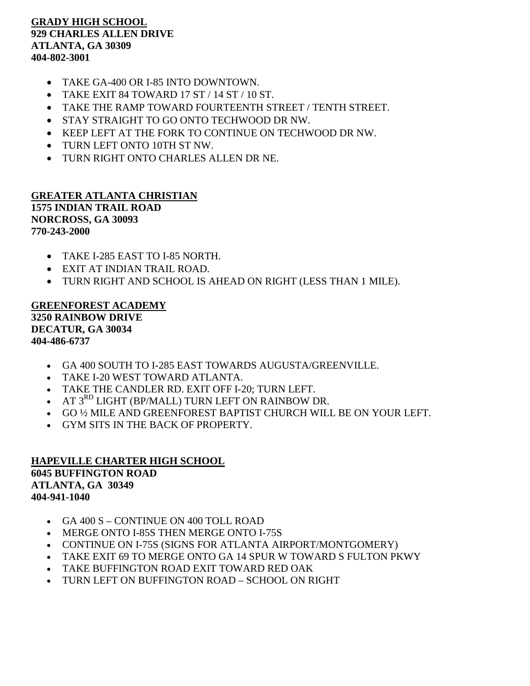## **GRADY HIGH SCHOOL 929 CHARLES ALLEN DRIVE ATLANTA, GA 30309 404-802-3001**

- TAKE GA-400 OR I-85 INTO DOWNTOWN.
- TAKE EXIT 84 TOWARD 17 ST / 14 ST / 10 ST.
- TAKE THE RAMP TOWARD FOURTEENTH STREET / TENTH STREET.
- STAY STRAIGHT TO GO ONTO TECHWOOD DR NW.
- KEEP LEFT AT THE FORK TO CONTINUE ON TECHWOOD DR NW.
- TURN LEFT ONTO 10TH ST NW.
- TURN RIGHT ONTO CHARLES ALLEN DR NE.

#### **GREATER ATLANTA CHRISTIAN 1575 INDIAN TRAIL ROAD NORCROSS, GA 30093 770-243-2000**

- TAKE I-285 EAST TO I-85 NORTH.
- EXIT AT INDIAN TRAIL ROAD.
- TURN RIGHT AND SCHOOL IS AHEAD ON RIGHT (LESS THAN 1 MILE).

## **GREENFOREST ACADEMY 3250 RAINBOW DRIVE DECATUR, GA 30034 404-486-6737**

- GA 400 SOUTH TO I-285 EAST TOWARDS AUGUSTA/GREENVILLE.
- TAKE I-20 WEST TOWARD ATLANTA.
- TAKE THE CANDLER RD. EXIT OFF I-20; TURN LEFT.
- AT  $3^{RD}$  LIGHT (BP/MALL) TURN LEFT ON RAINBOW DR.
- GO ½ MILE AND GREENFOREST BAPTIST CHURCH WILL BE ON YOUR LEFT.
- GYM SITS IN THE BACK OF PROPERTY.

## **HAPEVILLE CHARTER HIGH SCHOOL 6045 BUFFINGTON ROAD ATLANTA, GA 30349 404-941-1040**

- GA 400 S CONTINUE ON 400 TOLL ROAD
- MERGE ONTO I-85S THEN MERGE ONTO I-75S
- CONTINUE ON I-75S (SIGNS FOR ATLANTA AIRPORT/MONTGOMERY)
- TAKE EXIT 69 TO MERGE ONTO GA 14 SPUR W TOWARD S FULTON PKWY
- TAKE BUFFINGTON ROAD EXIT TOWARD RED OAK
- TURN LEFT ON BUFFINGTON ROAD SCHOOL ON RIGHT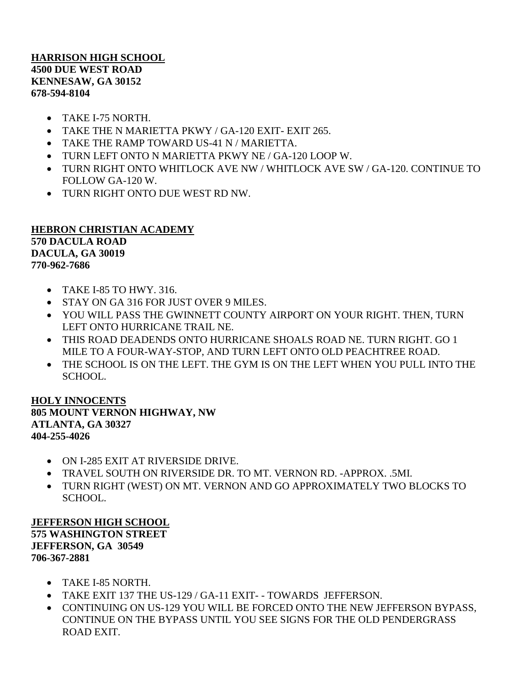**HARRISON HIGH SCHOOL 4500 DUE WEST ROAD KENNESAW, GA 30152 678-594-8104**

- TAKE I-75 NORTH.
- TAKE THE N MARIETTA PKWY / GA-120 EXIT- EXIT 265.
- TAKE THE RAMP TOWARD US-41 N / MARIETTA.
- TURN LEFT ONTO N MARIETTA PKWY NE / GA-120 LOOP W.
- TURN RIGHT ONTO WHITLOCK AVE NW / WHITLOCK AVE SW / GA-120. CONTINUE TO FOLLOW GA-120 W.
- TURN RIGHT ONTO DUE WEST RD NW.

# **HEBRON CHRISTIAN ACADEMY 570 DACULA ROAD DACULA, GA 30019 770-962-7686**

- $\bullet$  TAKE I-85 TO HWY, 316.
- STAY ON GA 316 FOR JUST OVER 9 MILES.
- YOU WILL PASS THE GWINNETT COUNTY AIRPORT ON YOUR RIGHT. THEN, TURN LEFT ONTO HURRICANE TRAIL NE.
- THIS ROAD DEADENDS ONTO HURRICANE SHOALS ROAD NE. TURN RIGHT. GO 1 MILE TO A FOUR-WAY-STOP, AND TURN LEFT ONTO OLD PEACHTREE ROAD.
- THE SCHOOL IS ON THE LEFT. THE GYM IS ON THE LEFT WHEN YOU PULL INTO THE SCHOOL.

#### **HOLY INNOCENTS 805 MOUNT VERNON HIGHWAY, NW ATLANTA, GA 30327 404-255-4026**

- ON I-285 EXIT AT RIVERSIDE DRIVE.
- TRAVEL SOUTH ON RIVERSIDE DR. TO MT. VERNON RD. -APPROX. .5MI.
- TURN RIGHT (WEST) ON MT. VERNON AND GO APPROXIMATELY TWO BLOCKS TO SCHOOL.

## **JEFFERSON HIGH SCHOOL 575 WASHINGTON STREET JEFFERSON, GA 30549 706-367-2881**

- TAKE I-85 NORTH.
- TAKE EXIT 137 THE US-129 / GA-11 EXIT- TOWARDS JEFFERSON.
- CONTINUING ON US-129 YOU WILL BE FORCED ONTO THE NEW JEFFERSON BYPASS, CONTINUE ON THE BYPASS UNTIL YOU SEE SIGNS FOR THE OLD PENDERGRASS ROAD EXIT.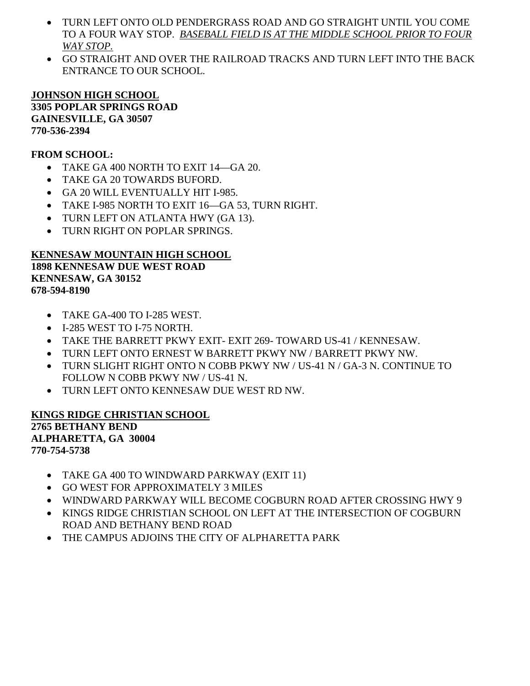- TURN LEFT ONTO OLD PENDERGRASS ROAD AND GO STRAIGHT UNTIL YOU COME TO A FOUR WAY STOP. *BASEBALL FIELD IS AT THE MIDDLE SCHOOL PRIOR TO FOUR WAY STOP.*
- GO STRAIGHT AND OVER THE RAILROAD TRACKS AND TURN LEFT INTO THE BACK ENTRANCE TO OUR SCHOOL.

## **JOHNSON HIGH SCHOOL**

**3305 POPLAR SPRINGS ROAD GAINESVILLE, GA 30507 770-536-2394**

## **FROM SCHOOL:**

- TAKE GA 400 NORTH TO EXIT 14 GA 20.
- TAKE GA 20 TOWARDS BUFORD.
- GA 20 WILL EVENTUALLY HIT I-985.
- TAKE I-985 NORTH TO EXIT 16—GA 53, TURN RIGHT.
- TURN LEFT ON ATLANTA HWY (GA 13).
- TURN RIGHT ON POPLAR SPRINGS.

## **KENNESAW MOUNTAIN HIGH SCHOOL**

**1898 KENNESAW DUE WEST ROAD KENNESAW, GA 30152 678-594-8190**

- TAKE GA-400 TO I-285 WEST.
- I-285 WEST TO I-75 NORTH.
- TAKE THE BARRETT PKWY EXIT- EXIT 269- TOWARD US-41 / KENNESAW.
- TURN LEFT ONTO ERNEST W BARRETT PKWY NW / BARRETT PKWY NW.
- TURN SLIGHT RIGHT ONTO N COBB PKWY NW / US-41 N / GA-3 N. CONTINUE TO FOLLOW N COBB PKWY NW / US-41 N.
- TURN LEFT ONTO KENNESAW DUE WEST RD NW.

## **KINGS RIDGE CHRISTIAN SCHOOL 2765 BETHANY BEND ALPHARETTA, GA 30004 770-754-5738**

- TAKE GA 400 TO WINDWARD PARKWAY (EXIT 11)
- GO WEST FOR APPROXIMATELY 3 MILES
- WINDWARD PARKWAY WILL BECOME COGBURN ROAD AFTER CROSSING HWY 9
- KINGS RIDGE CHRISTIAN SCHOOL ON LEFT AT THE INTERSECTION OF COGBURN ROAD AND BETHANY BEND ROAD
- THE CAMPUS ADJOINS THE CITY OF ALPHARETTA PARK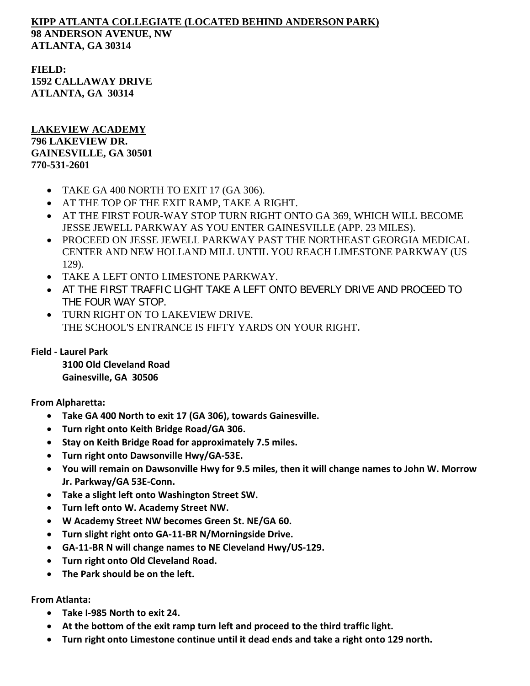# **KIPP ATLANTA COLLEGIATE (LOCATED BEHIND ANDERSON PARK) 98 ANDERSON AVENUE, NW ATLANTA, GA 30314**

**FIELD: 1592 CALLAWAY DRIVE ATLANTA, GA 30314**

## **LAKEVIEW ACADEMY 796 LAKEVIEW DR. GAINESVILLE, GA 30501 770-531-2601**

- TAKE GA 400 NORTH TO EXIT 17 (GA 306).
- AT THE TOP OF THE EXIT RAMP, TAKE A RIGHT.
- AT THE FIRST FOUR-WAY STOP TURN RIGHT ONTO GA 369, WHICH WILL BECOME JESSE JEWELL PARKWAY AS YOU ENTER GAINESVILLE (APP. 23 MILES).
- PROCEED ON JESSE JEWELL PARKWAY PAST THE NORTHEAST GEORGIA MEDICAL CENTER AND NEW HOLLAND MILL UNTIL YOU REACH LIMESTONE PARKWAY (US 129).
- TAKE A LEFT ONTO LIMESTONE PARKWAY.
- AT THE FIRST TRAFFIC LIGHT TAKE A LEFT ONTO BEVERLY DRIVE AND PROCEED TO THE FOUR WAY STOP.
- TURN RIGHT ON TO LAKEVIEW DRIVE. THE SCHOOL'S ENTRANCE IS FIFTY YARDS ON YOUR RIGHT.

**Field - Laurel Park**

**3100 Old Cleveland Road Gainesville, GA 30506**

**From Alpharetta:** 

- **Take GA 400 North to exit 17 (GA 306), towards Gainesville.**
- **Turn right onto Keith Bridge Road/GA 306.**
- **Stay on Keith Bridge Road for approximately 7.5 miles.**
- **Turn right onto Dawsonville Hwy/GA-53E.**
- **You will remain on Dawsonville Hwy for 9.5 miles, then it will change names to John W. Morrow Jr. Parkway/GA 53E-Conn.**
- **Take a slight left onto Washington Street SW.**
- **Turn left onto W. Academy Street NW.**
- **W Academy Street NW becomes Green St. NE/GA 60.**
- **Turn slight right onto GA-11-BR N/Morningside Drive.**
- **GA-11-BR N will change names to NE Cleveland Hwy/US-129.**
- **Turn right onto Old Cleveland Road.**
- **The Park should be on the left.**

**From Atlanta:** 

- **Take I-985 North to exit 24.**
- **At the bottom of the exit ramp turn left and proceed to the third traffic light.**
- **Turn right onto Limestone continue until it dead ends and take a right onto 129 north.**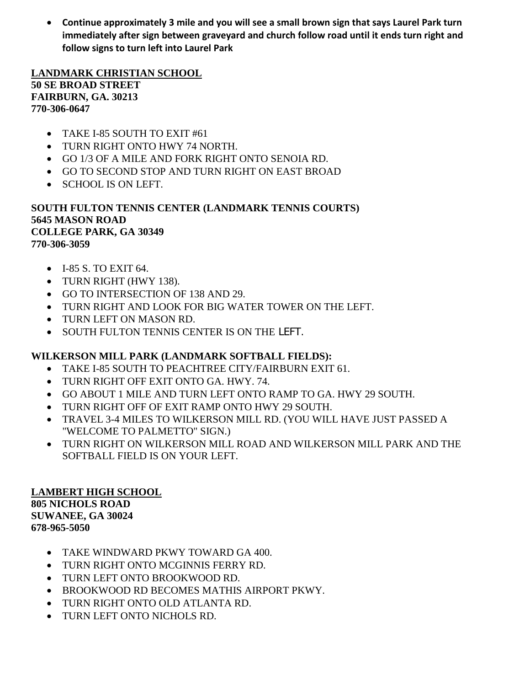• **Continue approximately 3 mile and you will see a small brown sign that says Laurel Park turn immediately after sign between graveyard and church follow road until it ends turn right and follow signs to turn left into Laurel Park**

**LANDMARK CHRISTIAN SCHOOL 50 SE BROAD STREET FAIRBURN, GA. 30213 770-306-0647**

- TAKE I-85 SOUTH TO EXIT #61
- TURN RIGHT ONTO HWY 74 NORTH.
- GO 1/3 OF A MILE AND FORK RIGHT ONTO SENOIA RD.
- GO TO SECOND STOP AND TURN RIGHT ON EAST BROAD
- SCHOOL IS ON LEFT.

## **SOUTH FULTON TENNIS CENTER (LANDMARK TENNIS COURTS) 5645 MASON ROAD COLLEGE PARK, GA 30349 770-306-3059**

- I-85 S. TO EXIT 64.
- TURN RIGHT (HWY 138).
- GO TO INTERSECTION OF 138 AND 29.
- TURN RIGHT AND LOOK FOR BIG WATER TOWER ON THE LEFT.
- TURN LEFT ON MASON RD.
- SOUTH FULTON TENNIS CENTER IS ON THE LEFT.

# **WILKERSON MILL PARK (LANDMARK SOFTBALL FIELDS):**

- TAKE I-85 SOUTH TO PEACHTREE CITY/FAIRBURN EXIT 61.
- TURN RIGHT OFF EXIT ONTO GA. HWY. 74.
- GO ABOUT 1 MILE AND TURN LEFT ONTO RAMP TO GA. HWY 29 SOUTH.
- TURN RIGHT OFF OF EXIT RAMP ONTO HWY 29 SOUTH.
- TRAVEL 3-4 MILES TO WILKERSON MILL RD. (YOU WILL HAVE JUST PASSED A "WELCOME TO PALMETTO" SIGN.)
- TURN RIGHT ON WILKERSON MILL ROAD AND WILKERSON MILL PARK AND THE SOFTBALL FIELD IS ON YOUR LEFT.

**LAMBERT HIGH SCHOOL 805 NICHOLS ROAD SUWANEE, GA 30024 678-965-5050**

- TAKE WINDWARD PKWY TOWARD GA 400.
- TURN RIGHT ONTO MCGINNIS FERRY RD.
- TURN LEFT ONTO BROOKWOOD RD.
- BROOKWOOD RD BECOMES MATHIS AIRPORT PKWY.
- TURN RIGHT ONTO OLD ATLANTA RD.
- TURN LEFT ONTO NICHOLS RD.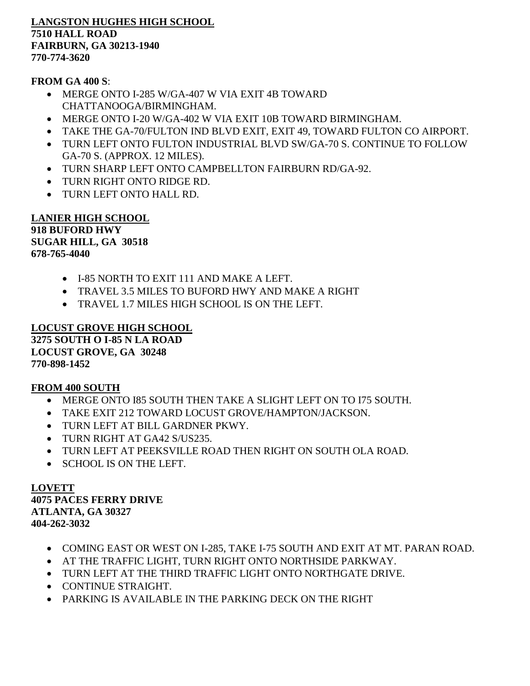**LANGSTON HUGHES HIGH SCHOOL 7510 HALL ROAD FAIRBURN, GA 30213-1940 770-774-3620**

**FROM GA 400 S**:

- MERGE ONTO I-285 W/GA-407 W VIA EXIT 4B TOWARD CHATTANOOGA/BIRMINGHAM.
- MERGE ONTO I-20 W/GA-402 W VIA EXIT 10B TOWARD BIRMINGHAM.
- TAKE THE GA-70/FULTON IND BLVD EXIT, EXIT 49, TOWARD FULTON CO AIRPORT.
- TURN LEFT ONTO FULTON INDUSTRIAL BLVD SW/GA-70 S. CONTINUE TO FOLLOW GA-70 S. (APPROX. 12 MILES).
- TURN SHARP LEFT ONTO CAMPBELLTON FAIRBURN RD/GA-92.
- TURN RIGHT ONTO RIDGE RD.
- TURN LEFT ONTO HALL RD.

**LANIER HIGH SCHOOL 918 BUFORD HWY SUGAR HILL, GA 30518 678-765-4040**

- I-85 NORTH TO EXIT 111 AND MAKE A LEFT.
- TRAVEL 3.5 MILES TO BUFORD HWY AND MAKE A RIGHT
- TRAVEL 1.7 MILES HIGH SCHOOL IS ON THE LEFT.

**LOCUST GROVE HIGH SCHOOL 3275 SOUTH O I-85 N LA ROAD LOCUST GROVE, GA 30248 770-898-1452**

## **FROM 400 SOUTH**

- MERGE ONTO I85 SOUTH THEN TAKE A SLIGHT LEFT ON TO I75 SOUTH.
- TAKE EXIT 212 TOWARD LOCUST GROVE/HAMPTON/JACKSON.
- TURN LEFT AT BILL GARDNER PKWY.
- TURN RIGHT AT GA42 S/US235.
- TURN LEFT AT PEEKSVILLE ROAD THEN RIGHT ON SOUTH OLA ROAD.
- SCHOOL IS ON THE LEFT.

# **LOVETT 4075 PACES FERRY DRIVE ATLANTA, GA 30327**

**404-262-3032** 

- COMING EAST OR WEST ON I-285, TAKE I-75 SOUTH AND EXIT AT MT. PARAN ROAD.
- AT THE TRAFFIC LIGHT, TURN RIGHT ONTO NORTHSIDE PARKWAY.
- TURN LEFT AT THE THIRD TRAFFIC LIGHT ONTO NORTHGATE DRIVE.
- CONTINUE STRAIGHT.
- PARKING IS AVAILABLE IN THE PARKING DECK ON THE RIGHT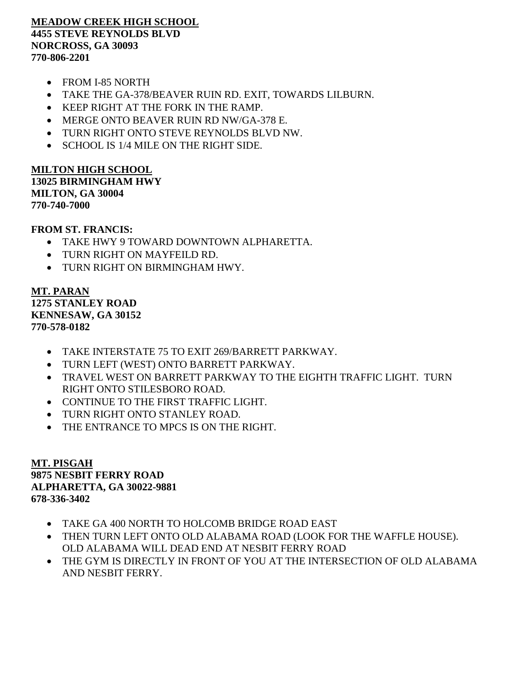#### **MEADOW CREEK HIGH SCHOOL 4455 STEVE REYNOLDS BLVD NORCROSS, GA 30093 770-806-2201**

- FROM I-85 NORTH
- TAKE THE GA-378/BEAVER RUIN RD. EXIT, TOWARDS LILBURN.
- KEEP RIGHT AT THE FORK IN THE RAMP.
- MERGE ONTO BEAVER RUIN RD NW/GA-378 E.
- TURN RIGHT ONTO STEVE REYNOLDS BLVD NW.
- SCHOOL IS 1/4 MILE ON THE RIGHT SIDE.

**MILTON HIGH SCHOOL 13025 BIRMINGHAM HWY MILTON, GA 30004**

**770-740-7000**

#### **FROM ST. FRANCIS:**

- TAKE HWY 9 TOWARD DOWNTOWN ALPHARETTA.
- TURN RIGHT ON MAYFEILD RD.
- TURN RIGHT ON BIRMINGHAM HWY.

**MT. PARAN 1275 STANLEY ROAD KENNESAW, GA 30152 770-578-0182**

- TAKE INTERSTATE 75 TO EXIT 269/BARRETT PARKWAY.
- TURN LEFT (WEST) ONTO BARRETT PARKWAY.
- TRAVEL WEST ON BARRETT PARKWAY TO THE EIGHTH TRAFFIC LIGHT. TURN RIGHT ONTO STILESBORO ROAD.
- CONTINUE TO THE FIRST TRAFFIC LIGHT.
- TURN RIGHT ONTO STANLEY ROAD.
- THE ENTRANCE TO MPCS IS ON THE RIGHT.

**MT. PISGAH 9875 NESBIT FERRY ROAD ALPHARETTA, GA 30022-9881 678-336-3402** 

- TAKE GA 400 NORTH TO HOLCOMB BRIDGE ROAD EAST
- THEN TURN LEFT ONTO OLD ALABAMA ROAD (LOOK FOR THE WAFFLE HOUSE). OLD ALABAMA WILL DEAD END AT NESBIT FERRY ROAD
- THE GYM IS DIRECTLY IN FRONT OF YOU AT THE INTERSECTION OF OLD ALABAMA AND NESBIT FERRY.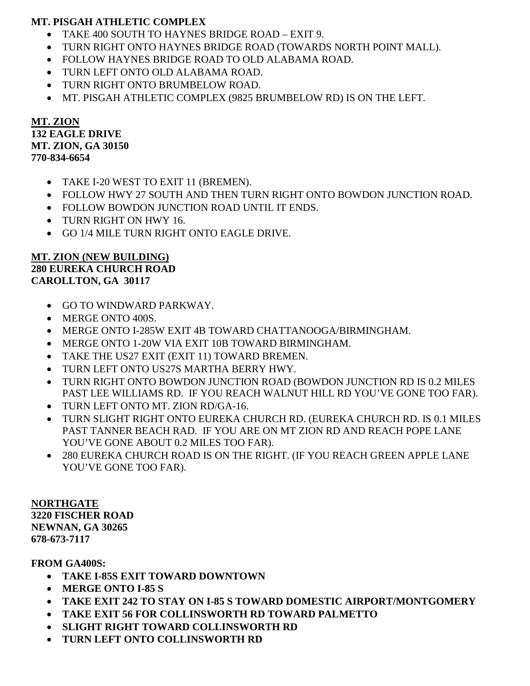## **MT. PISGAH ATHLETIC COMPLEX**

- TAKE 400 SOUTH TO HAYNES BRIDGE ROAD EXIT 9.
- TURN RIGHT ONTO HAYNES BRIDGE ROAD (TOWARDS NORTH POINT MALL).
- FOLLOW HAYNES BRIDGE ROAD TO OLD ALABAMA ROAD.
- TURN LEFT ONTO OLD ALABAMA ROAD.
- TURN RIGHT ONTO BRUMBELOW ROAD.
- MT. PISGAH ATHLETIC COMPLEX (9825 BRUMBELOW RD) IS ON THE LEFT.

**MT. ZION 132 EAGLE DRIVE MT. ZION, GA 30150 770-834-6654**

- TAKE I-20 WEST TO EXIT 11 (BREMEN).
- FOLLOW HWY 27 SOUTH AND THEN TURN RIGHT ONTO BOWDON JUNCTION ROAD.
- FOLLOW BOWDON JUNCTION ROAD UNTIL IT ENDS.
- TURN RIGHT ON HWY 16.
- GO 1/4 MILE TURN RIGHT ONTO EAGLE DRIVE.

## **MT. ZION (NEW BUILDING) 280 EUREKA CHURCH ROAD CAROLLTON, GA 30117**

- GO TO WINDWARD PARKWAY.
- MERGE ONTO 400S.
- MERGE ONTO I-285W EXIT 4B TOWARD CHATTANOOGA/BIRMINGHAM.
- MERGE ONTO 1-20W VIA EXIT 10B TOWARD BIRMINGHAM.
- TAKE THE US27 EXIT (EXIT 11) TOWARD BREMEN.
- TURN LEFT ONTO US27S MARTHA BERRY HWY.
- TURN RIGHT ONTO BOWDON JUNCTION ROAD (BOWDON JUNCTION RD IS 0.2 MILES PAST LEE WILLIAMS RD. IF YOU REACH WALNUT HILL RD YOU'VE GONE TOO FAR).
- TURN LEFT ONTO MT. ZION RD/GA-16.
- TURN SLIGHT RIGHT ONTO EUREKA CHURCH RD. (EUREKA CHURCH RD. IS 0.1 MILES PAST TANNER BEACH RAD. IF YOU ARE ON MT ZION RD AND REACH POPE LANE YOU'VE GONE ABOUT 0.2 MILES TOO FAR).
- 280 EUREKA CHURCH ROAD IS ON THE RIGHT. (IF YOU REACH GREEN APPLE LANE YOU'VE GONE TOO FAR).

**NORTHGATE 3220 FISCHER ROAD NEWNAN, GA 30265 678-673-7117**

**FROM GA400S:**

- **TAKE I-85S EXIT TOWARD DOWNTOWN**
- **MERGE ONTO I-85 S**
- **TAKE EXIT 242 TO STAY ON I-85 S TOWARD DOMESTIC AIRPORT/MONTGOMERY**
- **TAKE EXIT 56 FOR COLLINSWORTH RD TOWARD PALMETTO**
- **SLIGHT RIGHT TOWARD COLLINSWORTH RD**
- **TURN LEFT ONTO COLLINSWORTH RD**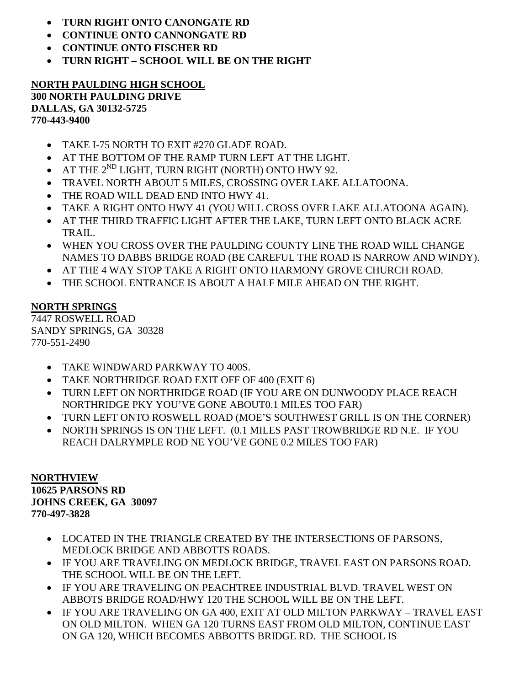- **TURN RIGHT ONTO CANONGATE RD**
- **CONTINUE ONTO CANNONGATE RD**
- **CONTINUE ONTO FISCHER RD**
- **TURN RIGHT – SCHOOL WILL BE ON THE RIGHT**

#### **NORTH PAULDING HIGH SCHOOL 300 NORTH PAULDING DRIVE DALLAS, GA 30132-5725 770-443-9400**

- TAKE I-75 NORTH TO EXIT #270 GLADE ROAD.
- AT THE BOTTOM OF THE RAMP TURN LEFT AT THE LIGHT.
- AT THE  $2^{ND}$  LIGHT, TURN RIGHT (NORTH) ONTO HWY 92.
- TRAVEL NORTH ABOUT 5 MILES, CROSSING OVER LAKE ALLATOONA.
- THE ROAD WILL DEAD END INTO HWY 41.
- TAKE A RIGHT ONTO HWY 41 (YOU WILL CROSS OVER LAKE ALLATOONA AGAIN).
- AT THE THIRD TRAFFIC LIGHT AFTER THE LAKE, TURN LEFT ONTO BLACK ACRE TRAIL.
- WHEN YOU CROSS OVER THE PAULDING COUNTY LINE THE ROAD WILL CHANGE NAMES TO DABBS BRIDGE ROAD (BE CAREFUL THE ROAD IS NARROW AND WINDY).
- AT THE 4 WAY STOP TAKE A RIGHT ONTO HARMONY GROVE CHURCH ROAD.
- THE SCHOOL ENTRANCE IS ABOUT A HALF MILE AHEAD ON THE RIGHT.

# **NORTH SPRINGS**

7447 ROSWELL ROAD SANDY SPRINGS, GA 30328 770-551-2490

- TAKE WINDWARD PARKWAY TO 400S.
- TAKE NORTHRIDGE ROAD EXIT OFF OF 400 (EXIT 6)
- TURN LEFT ON NORTHRIDGE ROAD (IF YOU ARE ON DUNWOODY PLACE REACH NORTHRIDGE PKY YOU'VE GONE ABOUT0.1 MILES TOO FAR)
- TURN LEFT ONTO ROSWELL ROAD (MOE'S SOUTHWEST GRILL IS ON THE CORNER)
- NORTH SPRINGS IS ON THE LEFT. (0.1 MILES PAST TROWBRIDGE RD N.E. IF YOU REACH DALRYMPLE ROD NE YOU'VE GONE 0.2 MILES TOO FAR)

#### **NORTHVIEW 10625 PARSONS RD JOHNS CREEK, GA 30097 770-497-3828**

- LOCATED IN THE TRIANGLE CREATED BY THE INTERSECTIONS OF PARSONS, MEDLOCK BRIDGE AND ABBOTTS ROADS.
- IF YOU ARE TRAVELING ON MEDLOCK BRIDGE, TRAVEL EAST ON PARSONS ROAD. THE SCHOOL WILL BE ON THE LEFT.
- IF YOU ARE TRAVELING ON PEACHTREE INDUSTRIAL BLVD. TRAVEL WEST ON ABBOTS BRIDGE ROAD/HWY 120 THE SCHOOL WILL BE ON THE LEFT.
- IF YOU ARE TRAVELING ON GA 400, EXIT AT OLD MILTON PARKWAY TRAVEL EAST ON OLD MILTON. WHEN GA 120 TURNS EAST FROM OLD MILTON, CONTINUE EAST ON GA 120, WHICH BECOMES ABBOTTS BRIDGE RD. THE SCHOOL IS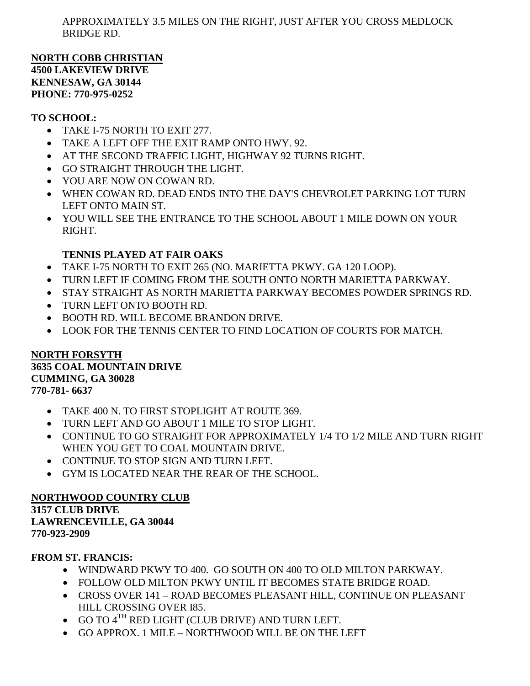APPROXIMATELY 3.5 MILES ON THE RIGHT, JUST AFTER YOU CROSS MEDLOCK BRIDGE RD.

**NORTH COBB CHRISTIAN 4500 LAKEVIEW DRIVE KENNESAW, GA 30144 PHONE: 770-975-0252** 

## **TO SCHOOL:**

- TAKE I-75 NORTH TO EXIT 277.
- TAKE A LEFT OFF THE EXIT RAMP ONTO HWY. 92.
- AT THE SECOND TRAFFIC LIGHT, HIGHWAY 92 TURNS RIGHT.
- GO STRAIGHT THROUGH THE LIGHT.
- YOU ARE NOW ON COWAN RD.
- WHEN COWAN RD. DEAD ENDS INTO THE DAY'S CHEVROLET PARKING LOT TURN LEFT ONTO MAIN ST.
- YOU WILL SEE THE ENTRANCE TO THE SCHOOL ABOUT 1 MILE DOWN ON YOUR RIGHT.

# **TENNIS PLAYED AT FAIR OAKS**

- TAKE I-75 NORTH TO EXIT 265 (NO. MARIETTA PKWY. GA 120 LOOP).
- TURN LEFT IF COMING FROM THE SOUTH ONTO NORTH MARIETTA PARKWAY.
- STAY STRAIGHT AS NORTH MARIETTA PARKWAY BECOMES POWDER SPRINGS RD.
- TURN LEFT ONTO BOOTH RD.
- BOOTH RD. WILL BECOME BRANDON DRIVE.
- LOOK FOR THE TENNIS CENTER TO FIND LOCATION OF COURTS FOR MATCH.

#### **NORTH FORSYTH 3635 COAL MOUNTAIN DRIVE CUMMING, GA 30028 770-781- 6637**

- TAKE 400 N. TO FIRST STOPLIGHT AT ROUTE 369.
- TURN LEFT AND GO ABOUT 1 MILE TO STOP LIGHT.
- CONTINUE TO GO STRAIGHT FOR APPROXIMATELY 1/4 TO 1/2 MILE AND TURN RIGHT WHEN YOU GET TO COAL MOUNTAIN DRIVE.
- CONTINUE TO STOP SIGN AND TURN LEFT.
- GYM IS LOCATED NEAR THE REAR OF THE SCHOOL.

## **NORTHWOOD COUNTRY CLUB**

**3157 CLUB DRIVE LAWRENCEVILLE, GA 30044 770-923-2909**

## **FROM ST. FRANCIS:**

- WINDWARD PKWY TO 400. GO SOUTH ON 400 TO OLD MILTON PARKWAY.
- FOLLOW OLD MILTON PKWY UNTIL IT BECOMES STATE BRIDGE ROAD.
- CROSS OVER 141 ROAD BECOMES PLEASANT HILL, CONTINUE ON PLEASANT HILL CROSSING OVER I85.
- $\bullet$  GO TO  $4^{TH}$  RED LIGHT (CLUB DRIVE) AND TURN LEFT.
- GO APPROX. 1 MILE NORTHWOOD WILL BE ON THE LEFT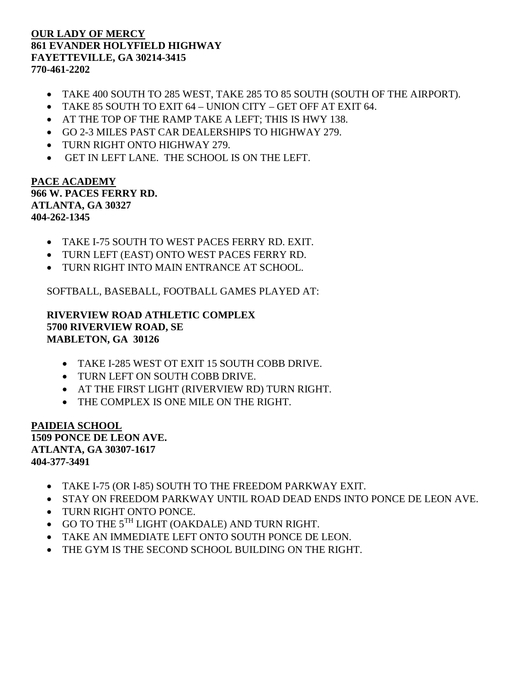## **OUR LADY OF MERCY 861 EVANDER HOLYFIELD HIGHWAY FAYETTEVILLE, GA 30214-3415 770-461-2202**

- TAKE 400 SOUTH TO 285 WEST, TAKE 285 TO 85 SOUTH (SOUTH OF THE AIRPORT).
- TAKE 85 SOUTH TO EXIT 64 UNION CITY GET OFF AT EXIT 64.
- AT THE TOP OF THE RAMP TAKE A LEFT; THIS IS HWY 138.
- GO 2-3 MILES PAST CAR DEALERSHIPS TO HIGHWAY 279.
- TURN RIGHT ONTO HIGHWAY 279.
- GET IN LEFT LANE. THE SCHOOL IS ON THE LEFT.

#### **PACE ACADEMY 966 W. PACES FERRY RD. ATLANTA, GA 30327 404-262-1345**

- TAKE I-75 SOUTH TO WEST PACES FERRY RD. EXIT.
- TURN LEFT (EAST) ONTO WEST PACES FERRY RD.
- TURN RIGHT INTO MAIN ENTRANCE AT SCHOOL.

SOFTBALL, BASEBALL, FOOTBALL GAMES PLAYED AT:

**RIVERVIEW ROAD ATHLETIC COMPLEX 5700 RIVERVIEW ROAD, SE MABLETON, GA 30126**

- TAKE I-285 WEST OT EXIT 15 SOUTH COBB DRIVE.
- TURN LEFT ON SOUTH COBB DRIVE.
- AT THE FIRST LIGHT (RIVERVIEW RD) TURN RIGHT.
- THE COMPLEX IS ONE MILE ON THE RIGHT.

**PAIDEIA SCHOOL 1509 PONCE DE LEON AVE. ATLANTA, GA 30307-1617 404-377-3491**

- TAKE I-75 (OR I-85) SOUTH TO THE FREEDOM PARKWAY EXIT.
- STAY ON FREEDOM PARKWAY UNTIL ROAD DEAD ENDS INTO PONCE DE LEON AVE.
- TURN RIGHT ONTO PONCE.
- $\bullet$  GO TO THE  $5^{TH}$  LIGHT (OAKDALE) AND TURN RIGHT.
- TAKE AN IMMEDIATE LEFT ONTO SOUTH PONCE DE LEON.
- THE GYM IS THE SECOND SCHOOL BUILDING ON THE RIGHT.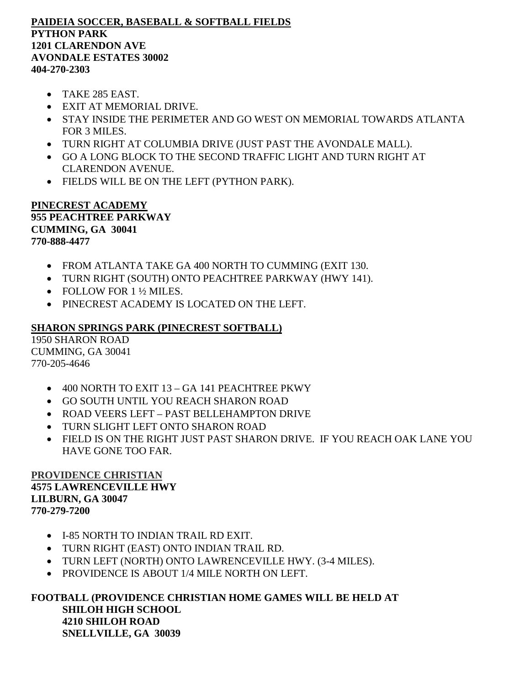#### **PAIDEIA SOCCER, BASEBALL & SOFTBALL FIELDS PYTHON PARK 1201 CLARENDON AVE AVONDALE ESTATES 30002 404-270-2303**

- TAKE 285 EAST.
- EXIT AT MEMORIAL DRIVE.
- STAY INSIDE THE PERIMETER AND GO WEST ON MEMORIAL TOWARDS ATLANTA FOR 3 MILES.
- TURN RIGHT AT COLUMBIA DRIVE (JUST PAST THE AVONDALE MALL).
- GO A LONG BLOCK TO THE SECOND TRAFFIC LIGHT AND TURN RIGHT AT CLARENDON AVENUE.
- FIELDS WILL BE ON THE LEFT (PYTHON PARK).

#### **PINECREST ACADEMY 955 PEACHTREE PARKWAY CUMMING, GA 30041 770-888-4477**

- FROM ATLANTA TAKE GA 400 NORTH TO CUMMING (EXIT 130.
- TURN RIGHT (SOUTH) ONTO PEACHTREE PARKWAY (HWY 141).
- FOLLOW FOR 1 ½ MILES.
- PINECREST ACADEMY IS LOCATED ON THE LEFT.

## **SHARON SPRINGS PARK (PINECREST SOFTBALL)**

1950 SHARON ROAD CUMMING, GA 30041 770-205-4646

- 400 NORTH TO EXIT 13 GA 141 PEACHTREE PKWY
- GO SOUTH UNTIL YOU REACH SHARON ROAD
- ROAD VEERS LEFT PAST BELLEHAMPTON DRIVE
- TURN SLIGHT LEFT ONTO SHARON ROAD
- FIELD IS ON THE RIGHT JUST PAST SHARON DRIVE. IF YOU REACH OAK LANE YOU HAVE GONE TOO FAR.

#### **PROVIDENCE CHRISTIAN 4575 LAWRENCEVILLE HWY LILBURN, GA 30047 770-279-7200**

- I-85 NORTH TO INDIAN TRAIL RD EXIT.
- TURN RIGHT (EAST) ONTO INDIAN TRAIL RD.
- TURN LEFT (NORTH) ONTO LAWRENCEVILLE HWY. (3-4 MILES).
- PROVIDENCE IS ABOUT 1/4 MILE NORTH ON LEFT.

## **FOOTBALL (PROVIDENCE CHRISTIAN HOME GAMES WILL BE HELD AT SHILOH HIGH SCHOOL 4210 SHILOH ROAD SNELLVILLE, GA 30039**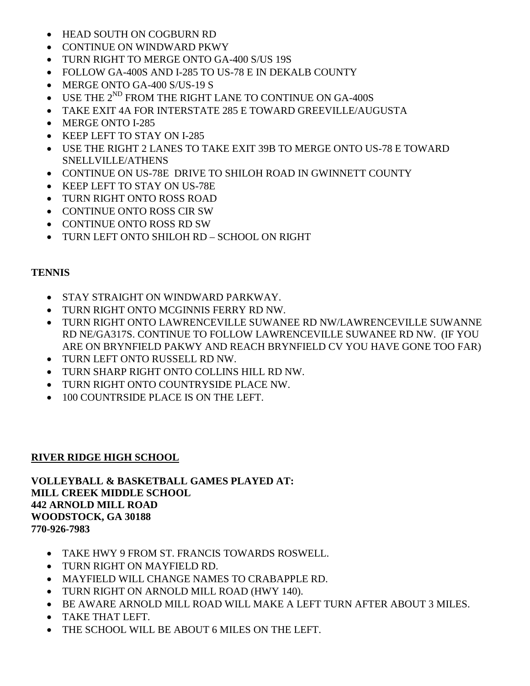- HEAD SOUTH ON COGBURN RD
- CONTINUE ON WINDWARD PKWY
- TURN RIGHT TO MERGE ONTO GA-400 S/US 19S
- FOLLOW GA-400S AND I-285 TO US-78 E IN DEKALB COUNTY
- MERGE ONTO GA-400 S/US-19 S
- $\bullet$  USE THE  $2^{ND}$  FROM THE RIGHT LANE TO CONTINUE ON GA-400S
- TAKE EXIT 4A FOR INTERSTATE 285 E TOWARD GREEVILLE/AUGUSTA
- MERGE ONTO I-285
- KEEP LEFT TO STAY ON I-285
- USE THE RIGHT 2 LANES TO TAKE EXIT 39B TO MERGE ONTO US-78 E TOWARD SNELLVILLE/ATHENS
- CONTINUE ON US-78E DRIVE TO SHILOH ROAD IN GWINNETT COUNTY
- KEEP LEFT TO STAY ON US-78E
- TURN RIGHT ONTO ROSS ROAD
- CONTINUE ONTO ROSS CIR SW
- CONTINUE ONTO ROSS RD SW
- TURN LEFT ONTO SHILOH RD SCHOOL ON RIGHT

## **TENNIS**

- STAY STRAIGHT ON WINDWARD PARKWAY.
- TURN RIGHT ONTO MCGINNIS FERRY RD NW.
- TURN RIGHT ONTO LAWRENCEVILLE SUWANEE RD NW/LAWRENCEVILLE SUWANNE RD NE/GA317S. CONTINUE TO FOLLOW LAWRENCEVILLE SUWANEE RD NW. (IF YOU ARE ON BRYNFIELD PAKWY AND REACH BRYNFIELD CV YOU HAVE GONE TOO FAR)
- TURN LEFT ONTO RUSSELL RD NW.
- TURN SHARP RIGHT ONTO COLLINS HILL RD NW.
- TURN RIGHT ONTO COUNTRYSIDE PLACE NW.
- 100 COUNTRSIDE PLACE IS ON THE LEFT.

## **RIVER RIDGE HIGH SCHOOL**

**VOLLEYBALL & BASKETBALL GAMES PLAYED AT: MILL CREEK MIDDLE SCHOOL 442 ARNOLD MILL ROAD WOODSTOCK, GA 30188 770-926-7983**

- TAKE HWY 9 FROM ST. FRANCIS TOWARDS ROSWELL.
- TURN RIGHT ON MAYFIELD RD.
- MAYFIELD WILL CHANGE NAMES TO CRABAPPLE RD.
- TURN RIGHT ON ARNOLD MILL ROAD (HWY 140).
- BE AWARE ARNOLD MILL ROAD WILL MAKE A LEFT TURN AFTER ABOUT 3 MILES.
- TAKE THAT LEFT.
- THE SCHOOL WILL BE ABOUT 6 MILES ON THE LEFT.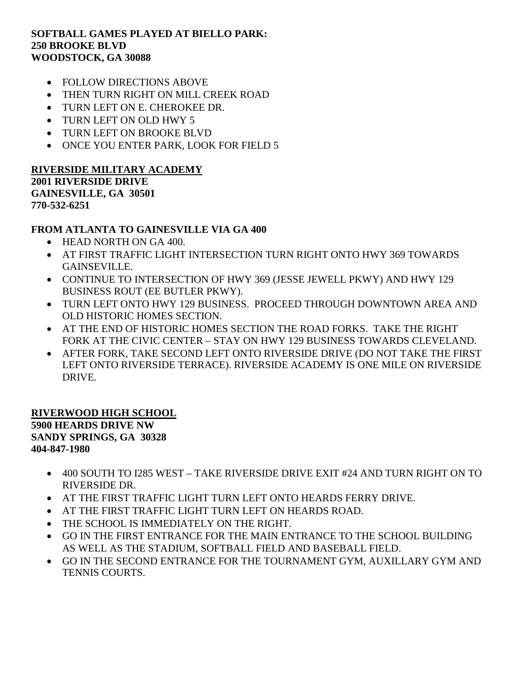#### **SOFTBALL GAMES PLAYED AT BIELLO PARK: 250 BROOKE BLVD WOODSTOCK, GA 30088**

- FOLLOW DIRECTIONS ABOVE
- THEN TURN RIGHT ON MILL CREEK ROAD
- TURN LEFT ON E. CHEROKEE DR.
- TURN LEFT ON OLD HWY 5
- TURN LEFT ON BROOKE BLVD
- ONCE YOU ENTER PARK, LOOK FOR FIELD 5

#### **RIVERSIDE MILITARY ACADEMY 2001 RIVERSIDE DRIVE GAINESVILLE, GA 30501 770-532-6251**

## **FROM ATLANTA TO GAINESVILLE VIA GA 400**

- HEAD NORTH ON GA 400.
- AT FIRST TRAFFIC LIGHT INTERSECTION TURN RIGHT ONTO HWY 369 TOWARDS GAINSEVILLE.
- CONTINUE TO INTERSECTION OF HWY 369 (JESSE JEWELL PKWY) AND HWY 129 BUSINESS ROUT (EE BUTLER PKWY).
- TURN LEFT ONTO HWY 129 BUSINESS. PROCEED THROUGH DOWNTOWN AREA AND OLD HISTORIC HOMES SECTION.
- AT THE END OF HISTORIC HOMES SECTION THE ROAD FORKS. TAKE THE RIGHT FORK AT THE CIVIC CENTER – STAY ON HWY 129 BUSINESS TOWARDS CLEVELAND.
- AFTER FORK, TAKE SECOND LEFT ONTO RIVERSIDE DRIVE (DO NOT TAKE THE FIRST LEFT ONTO RIVERSIDE TERRACE). RIVERSIDE ACADEMY IS ONE MILE ON RIVERSIDE DRIVE.

#### **RIVERWOOD HIGH SCHOOL 5900 HEARDS DRIVE NW SANDY SPRINGS, GA 30328 404-847-1980**

- 400 SOUTH TO I285 WEST TAKE RIVERSIDE DRIVE EXIT #24 AND TURN RIGHT ON TO RIVERSIDE DR.
- AT THE FIRST TRAFFIC LIGHT TURN LEFT ONTO HEARDS FERRY DRIVE.
- AT THE FIRST TRAFFIC LIGHT TURN LEFT ON HEARDS ROAD.
- THE SCHOOL IS IMMEDIATELY ON THE RIGHT.
- GO IN THE FIRST ENTRANCE FOR THE MAIN ENTRANCE TO THE SCHOOL BUILDING AS WELL AS THE STADIUM, SOFTBALL FIELD AND BASEBALL FIELD.
- GO IN THE SECOND ENTRANCE FOR THE TOURNAMENT GYM, AUXILLARY GYM AND TENNIS COURTS.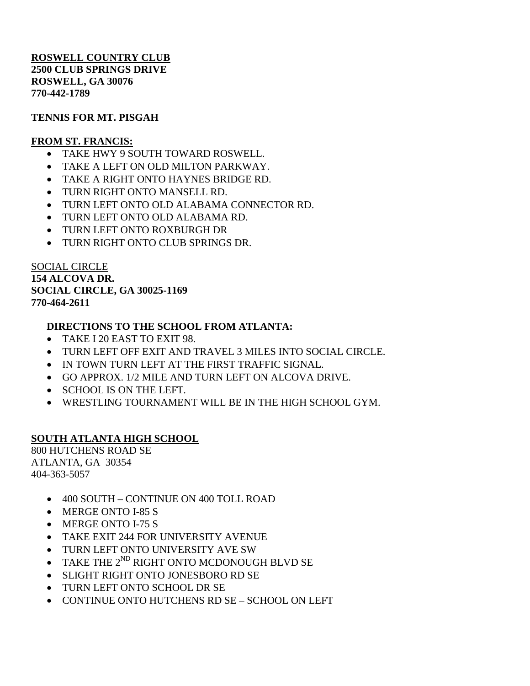**ROSWELL COUNTRY CLUB 2500 CLUB SPRINGS DRIVE ROSWELL, GA 30076 770-442-1789**

## **TENNIS FOR MT. PISGAH**

## **FROM ST. FRANCIS:**

- TAKE HWY 9 SOUTH TOWARD ROSWELL.
- TAKE A LEFT ON OLD MILTON PARKWAY.
- TAKE A RIGHT ONTO HAYNES BRIDGE RD.
- TURN RIGHT ONTO MANSELL RD.
- TURN LEFT ONTO OLD ALABAMA CONNECTOR RD.
- TURN LEFT ONTO OLD ALABAMA RD.
- TURN LEFT ONTO ROXBURGH DR
- TURN RIGHT ONTO CLUB SPRINGS DR.

SOCIAL CIRCLE **154 ALCOVA DR. SOCIAL CIRCLE, GA 30025-1169 770-464-2611**

## **DIRECTIONS TO THE SCHOOL FROM ATLANTA:**

- TAKE I 20 EAST TO EXIT 98.
- TURN LEFT OFF EXIT AND TRAVEL 3 MILES INTO SOCIAL CIRCLE.
- IN TOWN TURN LEFT AT THE FIRST TRAFFIC SIGNAL.
- GO APPROX. 1/2 MILE AND TURN LEFT ON ALCOVA DRIVE.
- SCHOOL IS ON THE LEFT.
- WRESTLING TOURNAMENT WILL BE IN THE HIGH SCHOOL GYM.

# **SOUTH ATLANTA HIGH SCHOOL**

800 HUTCHENS ROAD SE ATLANTA, GA 30354 404-363-5057

- 400 SOUTH CONTINUE ON 400 TOLL ROAD
- MERGE ONTO I-85 S
- MERGE ONTO I-75 S
- TAKE EXIT 244 FOR UNIVERSITY AVENUE
- TURN LEFT ONTO UNIVERSITY AVE SW
- TAKE THE  $2^{ND}$  RIGHT ONTO MCDONOUGH BLVD SE
- SLIGHT RIGHT ONTO JONESBORO RD SE
- TURN LEFT ONTO SCHOOL DR SE
- CONTINUE ONTO HUTCHENS RD SE SCHOOL ON LEFT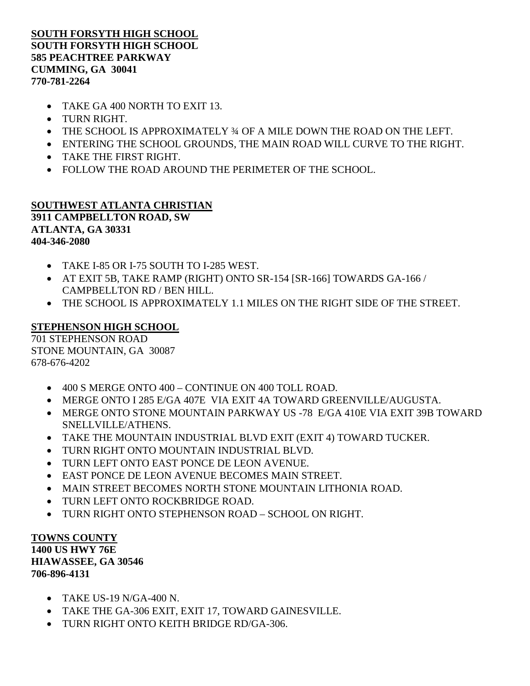## **SOUTH FORSYTH HIGH SCHOOL SOUTH FORSYTH HIGH SCHOOL 585 PEACHTREE PARKWAY CUMMING, GA 30041 770-781-2264**

- TAKE GA 400 NORTH TO EXIT 13.
- TURN RIGHT.
- THE SCHOOL IS APPROXIMATELY ¾ OF A MILE DOWN THE ROAD ON THE LEFT.
- ENTERING THE SCHOOL GROUNDS, THE MAIN ROAD WILL CURVE TO THE RIGHT.
- TAKE THE FIRST RIGHT.
- FOLLOW THE ROAD AROUND THE PERIMETER OF THE SCHOOL.

#### **SOUTHWEST ATLANTA CHRISTIAN 3911 CAMPBELLTON ROAD, SW ATLANTA, GA 30331 404-346-2080**

- TAKE I-85 OR I-75 SOUTH TO I-285 WEST.
- AT EXIT 5B, TAKE RAMP (RIGHT) ONTO SR-154 [SR-166] TOWARDS GA-166 / CAMPBELLTON RD / BEN HILL.
- THE SCHOOL IS APPROXIMATELY 1.1 MILES ON THE RIGHT SIDE OF THE STREET.

#### **STEPHENSON HIGH SCHOOL**

701 STEPHENSON ROAD STONE MOUNTAIN, GA 30087 678-676-4202

- 400 S MERGE ONTO 400 CONTINUE ON 400 TOLL ROAD.
- MERGE ONTO I 285 E/GA 407E VIA EXIT 4A TOWARD GREENVILLE/AUGUSTA.
- MERGE ONTO STONE MOUNTAIN PARKWAY US -78 E/GA 410E VIA EXIT 39B TOWARD SNELLVILLE/ATHENS.
- TAKE THE MOUNTAIN INDUSTRIAL BLVD EXIT (EXIT 4) TOWARD TUCKER.
- TURN RIGHT ONTO MOUNTAIN INDUSTRIAL BLVD.
- TURN LEFT ONTO EAST PONCE DE LEON AVENUE.
- EAST PONCE DE LEON AVENUE BECOMES MAIN STREET.
- MAIN STREET BECOMES NORTH STONE MOUNTAIN LITHONIA ROAD.
- TURN LEFT ONTO ROCKBRIDGE ROAD.
- TURN RIGHT ONTO STEPHENSON ROAD SCHOOL ON RIGHT.

#### **TOWNS COUNTY**

**1400 US HWY 76E HIAWASSEE, GA 30546 706-896-4131**

- TAKE US-19 N/GA-400 N.
- TAKE THE GA-306 EXIT, EXIT 17, TOWARD GAINESVILLE.
- TURN RIGHT ONTO KEITH BRIDGE RD/GA-306.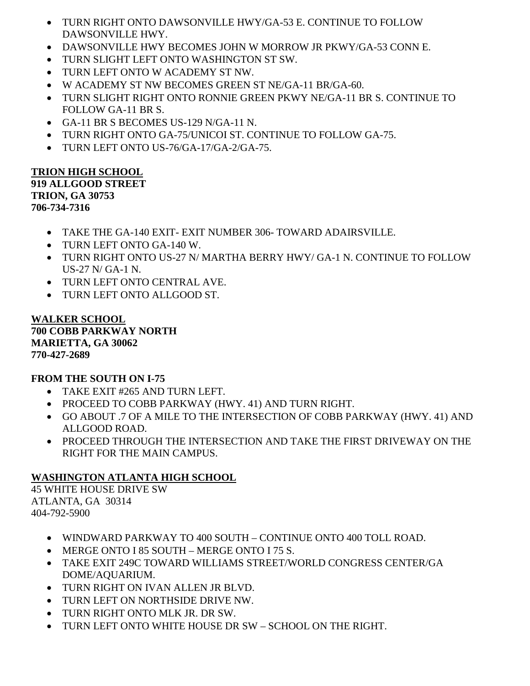- TURN RIGHT ONTO DAWSONVILLE HWY/GA-53 E. CONTINUE TO FOLLOW DAWSONVILLE HWY.
- DAWSONVILLE HWY BECOMES JOHN W MORROW JR PKWY/GA-53 CONN E.
- TURN SLIGHT LEFT ONTO WASHINGTON ST SW.
- TURN LEFT ONTO W ACADEMY ST NW.
- W ACADEMY ST NW BECOMES GREEN ST NE/GA-11 BR/GA-60.
- TURN SLIGHT RIGHT ONTO RONNIE GREEN PKWY NE/GA-11 BR S. CONTINUE TO FOLLOW GA-11 BR S.
- GA-11 BR S BECOMES US-129 N/GA-11 N.
- TURN RIGHT ONTO GA-75/UNICOI ST. CONTINUE TO FOLLOW GA-75.
- TURN LEFT ONTO US-76/GA-17/GA-2/GA-75.

# **TRION HIGH SCHOOL**

**919 ALLGOOD STREET TRION, GA 30753 706-734-7316**

- TAKE THE GA-140 EXIT- EXIT NUMBER 306- TOWARD ADAIRSVILLE.
- TURN LEFT ONTO GA-140 W.
- TURN RIGHT ONTO US-27 N/ MARTHA BERRY HWY/ GA-1 N. CONTINUE TO FOLLOW US-27 N/ GA-1 N.
- TURN LEFT ONTO CENTRAL AVE.
- TURN LEFT ONTO ALLGOOD ST.

#### **WALKER SCHOOL 700 COBB PARKWAY NORTH MARIETTA, GA 30062 770-427-2689**

# **FROM THE SOUTH ON I-75**

- TAKE EXIT #265 AND TURN LEFT.
- PROCEED TO COBB PARKWAY (HWY. 41) AND TURN RIGHT.
- GO ABOUT .7 OF A MILE TO THE INTERSECTION OF COBB PARKWAY (HWY. 41) AND ALLGOOD ROAD.
- PROCEED THROUGH THE INTERSECTION AND TAKE THE FIRST DRIVEWAY ON THE RIGHT FOR THE MAIN CAMPUS.

# **WASHINGTON ATLANTA HIGH SCHOOL**

45 WHITE HOUSE DRIVE SW ATLANTA, GA 30314 404-792-5900

- WINDWARD PARKWAY TO 400 SOUTH CONTINUE ONTO 400 TOLL ROAD.
- MERGE ONTO I 85 SOUTH MERGE ONTO I 75 S.
- TAKE EXIT 249C TOWARD WILLIAMS STREET/WORLD CONGRESS CENTER/GA DOME/AQUARIUM.
- TURN RIGHT ON IVAN ALLEN JR BLVD.
- TURN LEFT ON NORTHSIDE DRIVE NW.
- TURN RIGHT ONTO MLK JR. DR SW.
- TURN LEFT ONTO WHITE HOUSE DR SW SCHOOL ON THE RIGHT.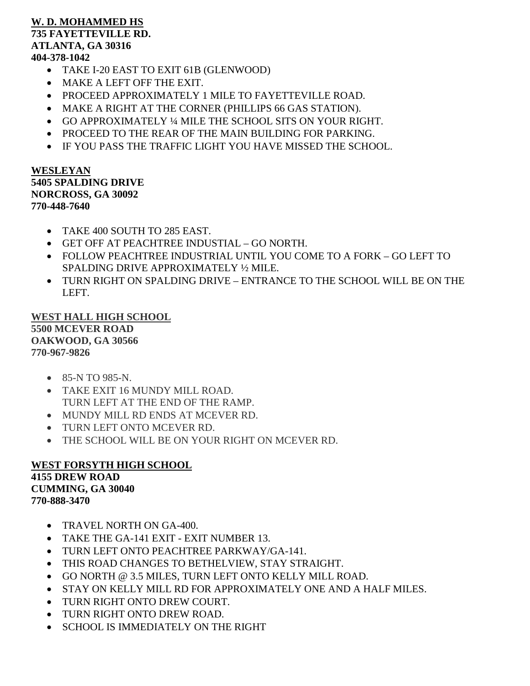### **W. D. MOHAMMED HS 735 FAYETTEVILLE RD. ATLANTA, GA 30316 404-378-1042**

- TAKE I-20 EAST TO EXIT 61B (GLENWOOD)
- MAKE A LEFT OFF THE EXIT.
- PROCEED APPROXIMATELY 1 MILE TO FAYETTEVILLE ROAD.
- MAKE A RIGHT AT THE CORNER (PHILLIPS 66 GAS STATION).
- GO APPROXIMATELY ¼ MILE THE SCHOOL SITS ON YOUR RIGHT.
- PROCEED TO THE REAR OF THE MAIN BUILDING FOR PARKING.
- IF YOU PASS THE TRAFFIC LIGHT YOU HAVE MISSED THE SCHOOL.

#### **WESLEYAN 5405 SPALDING DRIVE NORCROSS, GA 30092 770-448-7640**

- TAKE 400 SOUTH TO 285 EAST.
- GET OFF AT PEACHTREE INDUSTIAL GO NORTH.
- FOLLOW PEACHTREE INDUSTRIAL UNTIL YOU COME TO A FORK GO LEFT TO SPALDING DRIVE APPROXIMATELY ½ MILE.
- TURN RIGHT ON SPALDING DRIVE ENTRANCE TO THE SCHOOL WILL BE ON THE LEFT.

**WEST HALL HIGH SCHOOL 5500 MCEVER ROAD OAKWOOD, GA 30566 770-967-9826**

- 85-N TO 985-N.
- TAKE EXIT 16 MUNDY MILL ROAD. TURN LEFT AT THE END OF THE RAMP.
- MUNDY MILL RD ENDS AT MCEVER RD.
- TURN LEFT ONTO MCEVER RD.
- THE SCHOOL WILL BE ON YOUR RIGHT ON MCEVER RD.

## **WEST FORSYTH HIGH SCHOOL 4155 DREW ROAD CUMMING, GA 30040 770-888-3470**

- TRAVEL NORTH ON GA-400.
- TAKE THE GA-141 EXIT EXIT NUMBER 13.
- TURN LEFT ONTO PEACHTREE PARKWAY/GA-141.
- THIS ROAD CHANGES TO BETHELVIEW, STAY STRAIGHT.
- GO NORTH @ 3.5 MILES, TURN LEFT ONTO KELLY MILL ROAD.
- STAY ON KELLY MILL RD FOR APPROXIMATELY ONE AND A HALF MILES.
- TURN RIGHT ONTO DREW COURT.
- TURN RIGHT ONTO DREW ROAD.
- SCHOOL IS IMMEDIATELY ON THE RIGHT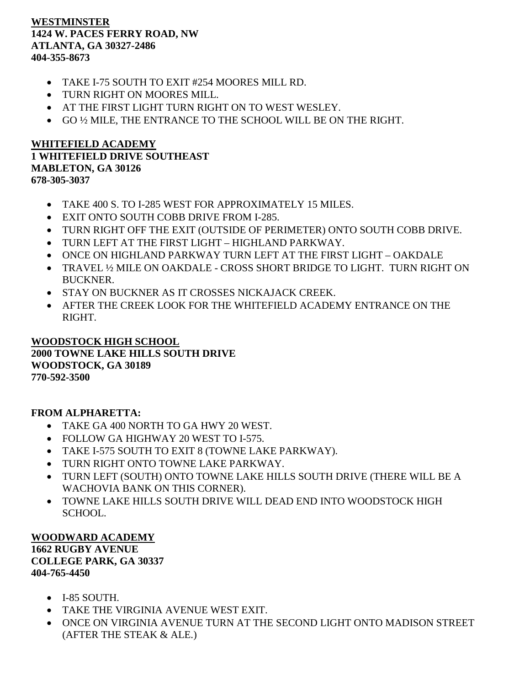## **WESTMINSTER 1424 W. PACES FERRY ROAD, NW ATLANTA, GA 30327-2486 404-355-8673**

- TAKE I-75 SOUTH TO EXIT #254 MOORES MILL RD.
- TURN RIGHT ON MOORES MILL.
- AT THE FIRST LIGHT TURN RIGHT ON TO WEST WESLEY.
- GO ½ MILE, THE ENTRANCE TO THE SCHOOL WILL BE ON THE RIGHT.

## **WHITEFIELD ACADEMY 1 WHITEFIELD DRIVE SOUTHEAST MABLETON, GA 30126 678-305-3037**

- TAKE 400 S. TO I-285 WEST FOR APPROXIMATELY 15 MILES.
- EXIT ONTO SOUTH COBB DRIVE FROM I-285.
- TURN RIGHT OFF THE EXIT (OUTSIDE OF PERIMETER) ONTO SOUTH COBB DRIVE.
- TURN LEFT AT THE FIRST LIGHT HIGHLAND PARKWAY.
- ONCE ON HIGHLAND PARKWAY TURN LEFT AT THE FIRST LIGHT OAKDALE
- TRAVEL ½ MILE ON OAKDALE CROSS SHORT BRIDGE TO LIGHT. TURN RIGHT ON BUCKNER.
- STAY ON BUCKNER AS IT CROSSES NICKAJACK CREEK.
- AFTER THE CREEK LOOK FOR THE WHITEFIELD ACADEMY ENTRANCE ON THE RIGHT.

#### **WOODSTOCK HIGH SCHOOL 2000 TOWNE LAKE HILLS SOUTH DRIVE WOODSTOCK, GA 30189 770-592-3500**

## **FROM ALPHARETTA:**

- TAKE GA 400 NORTH TO GA HWY 20 WEST.
- FOLLOW GA HIGHWAY 20 WEST TO I-575.
- TAKE I-575 SOUTH TO EXIT 8 (TOWNE LAKE PARKWAY).
- TURN RIGHT ONTO TOWNE LAKE PARKWAY.
- TURN LEFT (SOUTH) ONTO TOWNE LAKE HILLS SOUTH DRIVE (THERE WILL BE A WACHOVIA BANK ON THIS CORNER).
- TOWNE LAKE HILLS SOUTH DRIVE WILL DEAD END INTO WOODSTOCK HIGH SCHOOL.

## **WOODWARD ACADEMY**

#### **1662 RUGBY AVENUE COLLEGE PARK, GA 30337 404-765-4450**

- I-85 SOUTH.
- TAKE THE VIRGINIA AVENUE WEST EXIT.
- ONCE ON VIRGINIA AVENUE TURN AT THE SECOND LIGHT ONTO MADISON STREET (AFTER THE STEAK & ALE.)